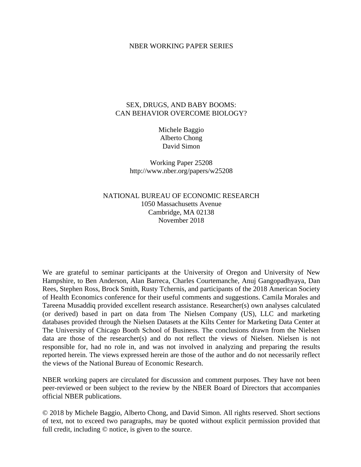#### NBER WORKING PAPER SERIES

## SEX, DRUGS, AND BABY BOOMS: CAN BEHAVIOR OVERCOME BIOLOGY?

Michele Baggio Alberto Chong David Simon

Working Paper 25208 http://www.nber.org/papers/w25208

NATIONAL BUREAU OF ECONOMIC RESEARCH 1050 Massachusetts Avenue Cambridge, MA 02138 November 2018

We are grateful to seminar participants at the University of Oregon and University of New Hampshire, to Ben Anderson, Alan Barreca, Charles Courtemanche, Anuj Gangopadhyaya, Dan Rees, Stephen Ross, Brock Smith, Rusty Tchernis, and participants of the 2018 American Society of Health Economics conference for their useful comments and suggestions. Camila Morales and Tareena Musaddiq provided excellent research assistance. Researcher(s) own analyses calculated (or derived) based in part on data from The Nielsen Company (US), LLC and marketing databases provided through the Nielsen Datasets at the Kilts Center for Marketing Data Center at The University of Chicago Booth School of Business. The conclusions drawn from the Nielsen data are those of the researcher(s) and do not reflect the views of Nielsen. Nielsen is not responsible for, had no role in, and was not involved in analyzing and preparing the results reported herein. The views expressed herein are those of the author and do not necessarily reflect the views of the National Bureau of Economic Research.

NBER working papers are circulated for discussion and comment purposes. They have not been peer-reviewed or been subject to the review by the NBER Board of Directors that accompanies official NBER publications.

© 2018 by Michele Baggio, Alberto Chong, and David Simon. All rights reserved. Short sections of text, not to exceed two paragraphs, may be quoted without explicit permission provided that full credit, including  $\odot$  notice, is given to the source.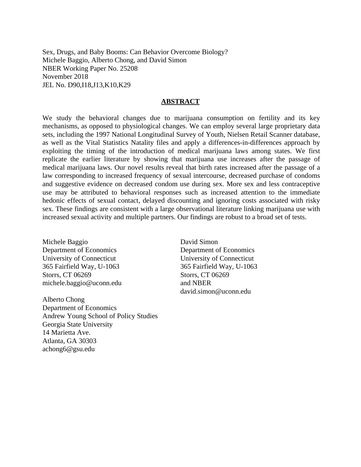Sex, Drugs, and Baby Booms: Can Behavior Overcome Biology? Michele Baggio, Alberto Chong, and David Simon NBER Working Paper No. 25208 November 2018 JEL No. D90,I18,J13,K10,K29

#### **ABSTRACT**

We study the behavioral changes due to marijuana consumption on fertility and its key mechanisms, as opposed to physiological changes. We can employ several large proprietary data sets, including the 1997 National Longitudinal Survey of Youth, Nielsen Retail Scanner database, as well as the Vital Statistics Natality files and apply a differences-in-differences approach by exploiting the timing of the introduction of medical marijuana laws among states. We first replicate the earlier literature by showing that marijuana use increases after the passage of medical marijuana laws. Our novel results reveal that birth rates increased after the passage of a law corresponding to increased frequency of sexual intercourse, decreased purchase of condoms and suggestive evidence on decreased condom use during sex. More sex and less contraceptive use may be attributed to behavioral responses such as increased attention to the immediate hedonic effects of sexual contact, delayed discounting and ignoring costs associated with risky sex. These findings are consistent with a large observational literature linking marijuana use with increased sexual activity and multiple partners. Our findings are robust to a broad set of tests.

Michele Baggio Department of Economics University of Connecticut 365 Fairfield Way, U-1063 Storrs, CT 06269 michele.baggio@uconn.edu

Alberto Chong Department of Economics Andrew Young School of Policy Studies Georgia State University 14 Marietta Ave. Atlanta, GA 30303 achong6@gsu.edu

David Simon Department of Economics University of Connecticut 365 Fairfield Way, U-1063 Storrs, CT 06269 and NBER david.simon@uconn.edu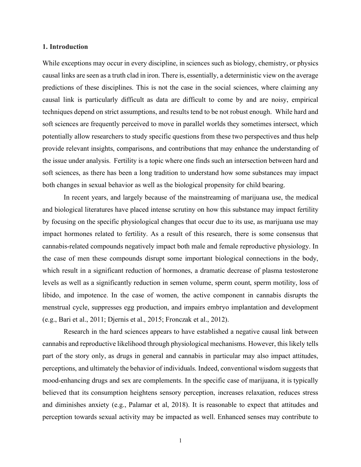#### **1. Introduction**

While exceptions may occur in every discipline, in sciences such as biology, chemistry, or physics causal links are seen as a truth clad in iron. There is, essentially, a deterministic view on the average predictions of these disciplines. This is not the case in the social sciences, where claiming any causal link is particularly difficult as data are difficult to come by and are noisy, empirical techniques depend on strict assumptions, and results tend to be not robust enough. While hard and soft sciences are frequently perceived to move in parallel worlds they sometimes intersect, which potentially allow researchers to study specific questions from these two perspectives and thus help provide relevant insights, comparisons, and contributions that may enhance the understanding of the issue under analysis. Fertility is a topic where one finds such an intersection between hard and soft sciences, as there has been a long tradition to understand how some substances may impact both changes in sexual behavior as well as the biological propensity for child bearing.

In recent years, and largely because of the mainstreaming of marijuana use, the medical and biological literatures have placed intense scrutiny on how this substance may impact fertility by focusing on the specific physiological changes that occur due to its use, as marijuana use may impact hormones related to fertility. As a result of this research, there is some consensus that cannabis-related compounds negatively impact both male and female reproductive physiology. In the case of men these compounds disrupt some important biological connections in the body, which result in a significant reduction of hormones, a dramatic decrease of plasma testosterone levels as well as a significantly reduction in semen volume, sperm count, sperm motility, loss of libido, and impotence. In the case of women, the active component in cannabis disrupts the menstrual cycle, suppresses egg production, and impairs embryo implantation and development (e.g., Bari et al., 2011; Djernis et al., 2015; Fronczak et al., 2012).

Research in the hard sciences appears to have established a negative causal link between cannabis and reproductive likelihood through physiological mechanisms. However, this likely tells part of the story only, as drugs in general and cannabis in particular may also impact attitudes, perceptions, and ultimately the behavior of individuals. Indeed, conventional wisdom suggests that mood-enhancing drugs and sex are complements. In the specific case of marijuana, it is typically believed that its consumption heightens sensory perception, increases relaxation, reduces stress and diminishes anxiety (e.g., Palamar et al, 2018). It is reasonable to expect that attitudes and perception towards sexual activity may be impacted as well. Enhanced senses may contribute to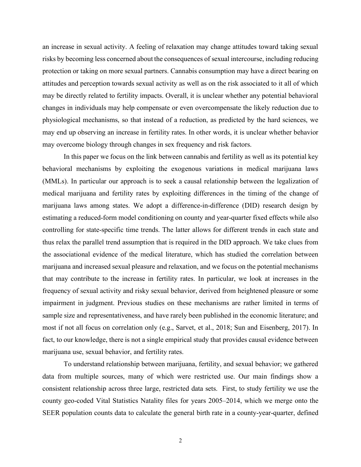an increase in sexual activity. A feeling of relaxation may change attitudes toward taking sexual risks by becoming less concerned about the consequences of sexual intercourse, including reducing protection or taking on more sexual partners. Cannabis consumption may have a direct bearing on attitudes and perception towards sexual activity as well as on the risk associated to it all of which may be directly related to fertility impacts. Overall, it is unclear whether any potential behavioral changes in individuals may help compensate or even overcompensate the likely reduction due to physiological mechanisms, so that instead of a reduction, as predicted by the hard sciences, we may end up observing an increase in fertility rates. In other words, it is unclear whether behavior may overcome biology through changes in sex frequency and risk factors.

In this paper we focus on the link between cannabis and fertility as well as its potential key behavioral mechanisms by exploiting the exogenous variations in medical marijuana laws (MMLs). In particular our approach is to seek a causal relationship between the legalization of medical marijuana and fertility rates by exploiting differences in the timing of the change of marijuana laws among states. We adopt a difference-in-difference (DID) research design by estimating a reduced-form model conditioning on county and year-quarter fixed effects while also controlling for state-specific time trends. The latter allows for different trends in each state and thus relax the parallel trend assumption that is required in the DID approach. We take clues from the associational evidence of the medical literature, which has studied the correlation between marijuana and increased sexual pleasure and relaxation, and we focus on the potential mechanisms that may contribute to the increase in fertility rates. In particular, we look at increases in the frequency of sexual activity and risky sexual behavior, derived from heightened pleasure or some impairment in judgment. Previous studies on these mechanisms are rather limited in terms of sample size and representativeness, and have rarely been published in the economic literature; and most if not all focus on correlation only (e.g., Sarvet, et al., 2018; Sun and Eisenberg, 2017). In fact, to our knowledge, there is not a single empirical study that provides causal evidence between marijuana use, sexual behavior, and fertility rates.

To understand relationship between marijuana, fertility, and sexual behavior; we gathered data from multiple sources, many of which were restricted use. Our main findings show a consistent relationship across three large, restricted data sets. First, to study fertility we use the county geo-coded Vital Statistics Natality files for years 2005–2014, which we merge onto the SEER population counts data to calculate the general birth rate in a county-year-quarter, defined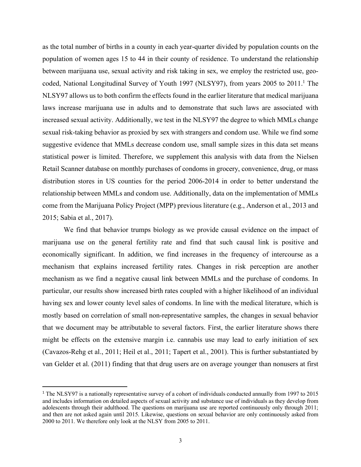as the total number of births in a county in each year-quarter divided by population counts on the population of women ages 15 to 44 in their county of residence. To understand the relationship between marijuana use, sexual activity and risk taking in sex, we employ the restricted use, geocoded, National Longitudinal Survey of Youth 1997 (NLSY97), from years 2005 to 2011. <sup>1</sup> The NLSY97 allows us to both confirm the effects found in the earlier literature that medical marijuana laws increase marijuana use in adults and to demonstrate that such laws are associated with increased sexual activity. Additionally, we test in the NLSY97 the degree to which MMLs change sexual risk-taking behavior as proxied by sex with strangers and condom use. While we find some suggestive evidence that MMLs decrease condom use, small sample sizes in this data set means statistical power is limited. Therefore, we supplement this analysis with data from the Nielsen Retail Scanner database on monthly purchases of condoms in grocery, convenience, drug, or mass distribution stores in US counties for the period 2006-2014 in order to better understand the relationship between MMLs and condom use. Additionally, data on the implementation of MMLs come from the Marijuana Policy Project (MPP) previous literature (e.g., Anderson et al., 2013 and 2015; Sabia et al., 2017).

We find that behavior trumps biology as we provide causal evidence on the impact of marijuana use on the general fertility rate and find that such causal link is positive and economically significant. In addition, we find increases in the frequency of intercourse as a mechanism that explains increased fertility rates. Changes in risk perception are another mechanism as we find a negative causal link between MMLs and the purchase of condoms. In particular, our results show increased birth rates coupled with a higher likelihood of an individual having sex and lower county level sales of condoms. In line with the medical literature, which is mostly based on correlation of small non-representative samples, the changes in sexual behavior that we document may be attributable to several factors. First, the earlier literature shows there might be effects on the extensive margin i.e. cannabis use may lead to early initiation of sex (Cavazos-Rehg et al., 2011; Heil et al., 2011; Tapert et al., 2001). This is further substantiated by van Gelder et al. (2011) finding that that drug users are on average younger than nonusers at first

 <sup>1</sup> The NLSY97 is a nationally representative survey of a cohort of individuals conducted annually from 1997 to 2015 and includes information on detailed aspects of sexual activity and substance use of individuals as they develop from adolescents through their adulthood. The questions on marijuana use are reported continuously only through 2011; and then are not asked again until 2015. Likewise, questions on sexual behavior are only continuously asked from 2000 to 2011. We therefore only look at the NLSY from 2005 to 2011.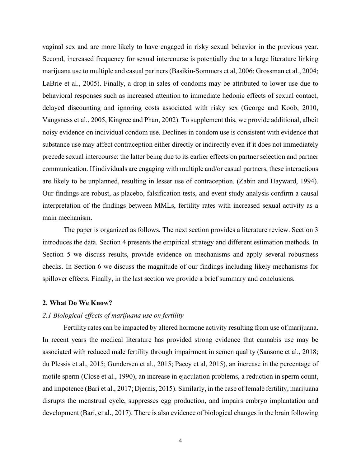vaginal sex and are more likely to have engaged in risky sexual behavior in the previous year. Second, increased frequency for sexual intercourse is potentially due to a large literature linking marijuana use to multiple and casual partners(Basikin-Sommers et al, 2006; Grossman et al., 2004; LaBrie et al., 2005). Finally, a drop in sales of condoms may be attributed to lower use due to behavioral responses such as increased attention to immediate hedonic effects of sexual contact, delayed discounting and ignoring costs associated with risky sex (George and Koob, 2010, Vangsness et al., 2005, Kingree and Phan, 2002). To supplement this, we provide additional, albeit noisy evidence on individual condom use. Declines in condom use is consistent with evidence that substance use may affect contraception either directly or indirectly even if it does not immediately precede sexual intercourse: the latter being due to its earlier effects on partner selection and partner communication. If individuals are engaging with multiple and/or casual partners, these interactions are likely to be unplanned, resulting in lesser use of contraception. (Zabin and Hayward, 1994). Our findings are robust, as placebo, falsification tests, and event study analysis confirm a causal interpretation of the findings between MMLs, fertility rates with increased sexual activity as a main mechanism.

The paper is organized as follows. The next section provides a literature review. Section 3 introduces the data. Section 4 presents the empirical strategy and different estimation methods. In Section 5 we discuss results, provide evidence on mechanisms and apply several robustness checks. In Section 6 we discuss the magnitude of our findings including likely mechanisms for spillover effects. Finally, in the last section we provide a brief summary and conclusions.

## **2. What Do We Know?**

## *2.1 Biological effects of marijuana use on fertility*

Fertility rates can be impacted by altered hormone activity resulting from use of marijuana. In recent years the medical literature has provided strong evidence that cannabis use may be associated with reduced male fertility through impairment in semen quality (Sansone et al., 2018; du Plessis et al., 2015; Gundersen et al., 2015; Pacey et al, 2015), an increase in the percentage of motile sperm (Close et al., 1990), an increase in ejaculation problems, a reduction in sperm count, and impotence (Bari et al., 2017; Djernis, 2015). Similarly, in the case of female fertility, marijuana disrupts the menstrual cycle, suppresses egg production, and impairs embryo implantation and development (Bari, et al., 2017). There is also evidence of biological changes in the brain following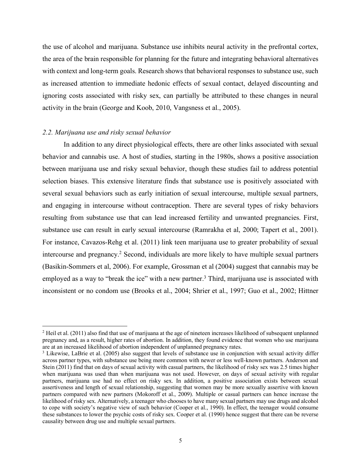the use of alcohol and marijuana. Substance use inhibits neural activity in the prefrontal cortex, the area of the brain responsible for planning for the future and integrating behavioral alternatives with context and long-term goals. Research shows that behavioral responses to substance use, such as increased attention to immediate hedonic effects of sexual contact, delayed discounting and ignoring costs associated with risky sex, can partially be attributed to these changes in neural activity in the brain (George and Koob, 2010, Vangsness et al., 2005).

## *2.2. Marijuana use and risky sexual behavior*

 $\overline{a}$ 

In addition to any direct physiological effects, there are other links associated with sexual behavior and cannabis use. A host of studies, starting in the 1980s, shows a positive association between marijuana use and risky sexual behavior, though these studies fail to address potential selection biases. This extensive literature finds that substance use is positively associated with several sexual behaviors such as early initiation of sexual intercourse, multiple sexual partners, and engaging in intercourse without contraception. There are several types of risky behaviors resulting from substance use that can lead increased fertility and unwanted pregnancies. First, substance use can result in early sexual intercourse (Ramrakha et al, 2000; Tapert et al., 2001). For instance, Cavazos-Rehg et al. (2011) link teen marijuana use to greater probability of sexual intercourse and pregnancy. <sup>2</sup> Second, individuals are more likely to have multiple sexual partners (Basikin-Sommers et al, 2006). For example, Grossman et al (2004) suggest that cannabis may be employed as a way to "break the ice" with a new partner.<sup>3</sup> Third, marijuana use is associated with inconsistent or no condom use (Brooks et al., 2004; Shrier et al., 1997; Guo et al., 2002; Hittner

<sup>&</sup>lt;sup>2</sup> Heil et al. (2011) also find that use of marijuana at the age of nineteen increases likelihood of subsequent unplanned pregnancy and, as a result, higher rates of abortion. In addition, they found evidence that women who use marijuana are at an increased likelihood of abortion independent of unplanned pregnancy rates.

<sup>&</sup>lt;sup>3</sup> Likewise, LaBrie et al. (2005) also suggest that levels of substance use in conjunction with sexual activity differ across partner types, with substance use being more common with newer or less well-known partners. Anderson and Stein (2011) find that on days of sexual activity with casual partners, the likelihood of risky sex was 2.5 times higher when marijuana was used than when marijuana was not used. However, on days of sexual activity with regular partners, marijuana use had no effect on risky sex. In addition, a positive association exists between sexual assertiveness and length of sexual relationship, suggesting that women may be more sexually assertive with known partners compared with new partners (Mokoroff et al., 2009). Multiple or casual partners can hence increase the likelihood of risky sex. Alternatively, a teenager who chooses to have many sexual partners may use drugs and alcohol to cope with society's negative view of such behavior (Cooper et al., 1990). In effect, the teenager would consume these substances to lower the psychic costs of risky sex. Cooper et al. (1990) hence suggest that there can be reverse causality between drug use and multiple sexual partners.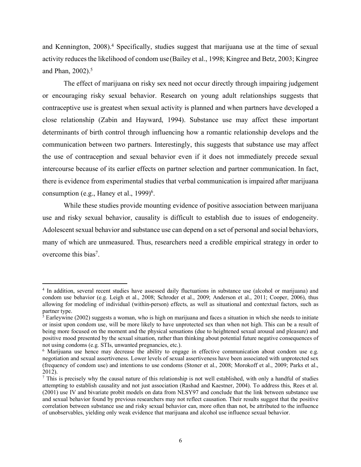and Kennington, 2008). <sup>4</sup> Specifically, studies suggest that marijuana use at the time of sexual activity reduces the likelihood of condom use (Bailey et al., 1998; Kingree and Betz, 2003; Kingree and Phan, 2002). 5

The effect of marijuana on risky sex need not occur directly through impairing judgement or encouraging risky sexual behavior. Research on young adult relationships suggests that contraceptive use is greatest when sexual activity is planned and when partners have developed a close relationship (Zabin and Hayward, 1994). Substance use may affect these important determinants of birth control through influencing how a romantic relationship develops and the communication between two partners. Interestingly, this suggests that substance use may affect the use of contraception and sexual behavior even if it does not immediately precede sexual intercourse because of its earlier effects on partner selection and partner communication. In fact, there is evidence from experimental studies that verbal communication is impaired after marijuana consumption (e.g., Haney et al., 1999)<sup>6</sup>.

While these studies provide mounting evidence of positive association between marijuana use and risky sexual behavior, causality is difficult to establish due to issues of endogeneity. Adolescent sexual behavior and substance use can depend on a set of personal and social behaviors, many of which are unmeasured. Thus, researchers need a credible empirical strategy in order to overcome this bias<sup>7</sup>.

 $\overline{a}$ 

<sup>4</sup> In addition, several recent studies have assessed daily fluctuations in substance use (alcohol or marijuana) and condom use behavior (e.g. Leigh et al., 2008; Schroder et al., 2009; Anderson et al., 2011; Cooper, 2006), thus allowing for modeling of individual (within-person) effects, as well as situational and contextual factors, such as partner type.

 $\frac{5}{3}$  Earleywine (2002) suggests a woman, who is high on marijuana and faces a situation in which she needs to initiate or insist upon condom use, will be more likely to have unprotected sex than when not high. This can be a result of being more focused on the moment and the physical sensations (due to heightened sexual arousal and pleasure) and positive mood presented by the sexual situation, rather than thinking about potential future negative consequences of not using condoms (e.g. STIs, unwanted pregnancies, etc.).<br><sup>6</sup> Marijuana use hence may decrease the ability to engage in effective communication about condom use e.g.

negotiation and sexual assertiveness. Lower levels of sexual assertiveness have been associated with unprotected sex (frequency of condom use) and intentions to use condoms (Stoner et al., 2008; Morokoff et al., 2009; Parks et al., 2012).

 $\frac{7}{1}$  This is precisely why the causal nature of this relationship is not well established, with only a handful of studies attempting to establish causality and not just association (Rashad and Kaestner, 2004). To address this, Rees et al. (2001) use IV and bivariate probit models on data from NLSY97 and conclude that the link between substance use and sexual behavior found by previous researchers may not reflect causation. Their results suggest that the positive correlation between substance use and risky sexual behavior can, more often than not, be attributed to the influence of unobservables, yielding only weak evidence that marijuana and alcohol use influence sexual behavior.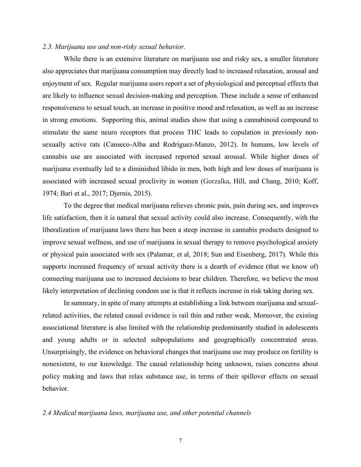#### *2.3. Marijuana use and non-risky sexual behavior.*

While there is an extensive literature on marijuana use and risky sex, a smaller literature also appreciates that marijuana consumption may directly lead to increased relaxation, arousal and enjoyment of sex. Regular marijuana users report a set of physiological and perceptual effects that are likely to influence sexual decision-making and perception. These include a sense of enhanced responsiveness to sexual touch, an increase in positive mood and relaxation, as well as an increase in strong emotions. Supporting this, animal studies show that using a cannabinoid compound to stimulate the same neuro receptors that process THC leads to copulation in previously nonsexually active rats (Canseco-Alba and Rodriguez-Manzo, 2012). In humans, low levels of cannabis use are associated with increased reported sexual arousal. While higher doses of marijuana eventually led to a diminished libido in men, both high and low doses of marijuana is associated with increased sexual proclivity in women (Gorzalka, Hill, and Chang, 2010; Koff, 1974; Bari et al., 2017; Djernis, 2015).

To the degree that medical marijuana relieves chronic pain, pain during sex, and improves life satisfaction, then it is natural that sexual activity could also increase. Consequently, with the liberalization of marijuana laws there has been a steep increase in cannabis products designed to improve sexual wellness, and use of marijuana in sexual therapy to remove psychological anxiety or physical pain associated with sex (Palamar, et al, 2018; Sun and Eisenberg, 2017). While this supports increased frequency of sexual activity there is a dearth of evidence (that we know of) connecting marijuana use to increased decisions to bear children. Therefore, we believe the most likely interpretation of declining condom use is that it reflects increase in risk taking during sex.

In summary, in spite of many attempts at establishing a link between marijuana and sexualrelated activities, the related causal evidence is rail thin and rather weak. Moreover, the existing associational literature is also limited with the relationship predominantly studied in adolescents and young adults or in selected subpopulations and geographically concentrated areas. Unsurprisingly, the evidence on behavioral changes that marijuana use may produce on fertility is nonexistent, to our knowledge. The causal relationship being unknown, raises concerns about policy making and laws that relax substance use, in terms of their spillover effects on sexual behavior.

#### *2.4 Medical marijuana laws, marijuana use, and other potential channels*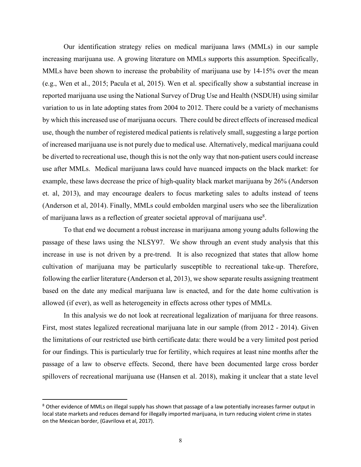Our identification strategy relies on medical marijuana laws (MMLs) in our sample increasing marijuana use. A growing literature on MMLs supports this assumption. Specifically, MMLs have been shown to increase the probability of marijuana use by 14-15% over the mean (e.g., Wen et al., 2015; Pacula et al, 2015). Wen et al. specifically show a substantial increase in reported marijuana use using the National Survey of Drug Use and Health (NSDUH) using similar variation to us in late adopting states from 2004 to 2012. There could be a variety of mechanisms by which this increased use of marijuana occurs. There could be direct effects of increased medical use, though the number of registered medical patients is relatively small, suggesting a large portion of increased marijuana use is not purely due to medical use. Alternatively, medical marijuana could be diverted to recreational use, though this is not the only way that non-patient users could increase use after MMLs. Medical marijuana laws could have nuanced impacts on the black market: for example, these laws decrease the price of high-quality black market marijuana by 26% (Anderson et. al, 2013), and may encourage dealers to focus marketing sales to adults instead of teens (Anderson et al, 2014). Finally, MMLs could embolden marginal users who see the liberalization of marijuana laws as a reflection of greater societal approval of marijuana use<sup>8</sup>.

To that end we document a robust increase in marijuana among young adults following the passage of these laws using the NLSY97. We show through an event study analysis that this increase in use is not driven by a pre-trend. It is also recognized that states that allow home cultivation of marijuana may be particularly susceptible to recreational take-up. Therefore, following the earlier literature (Anderson et al, 2013), we show separate results assigning treatment based on the date any medical marijuana law is enacted, and for the date home cultivation is allowed (if ever), as well as heterogeneity in effects across other types of MMLs.

In this analysis we do not look at recreational legalization of marijuana for three reasons. First, most states legalized recreational marijuana late in our sample (from 2012 - 2014). Given the limitations of our restricted use birth certificate data: there would be a very limited post period for our findings. This is particularly true for fertility, which requires at least nine months after the passage of a law to observe effects. Second, there have been documented large cross border spillovers of recreational marijuana use (Hansen et al. 2018), making it unclear that a state level

<sup>&</sup>lt;sup>8</sup> Other evidence of MMLs on illegal supply has shown that passage of a law potentially increases farmer output in local state markets and reduces demand for illegally imported marijuana, in turn reducing violent crime in states on the Mexican border, (Gavrilova et al, 2017).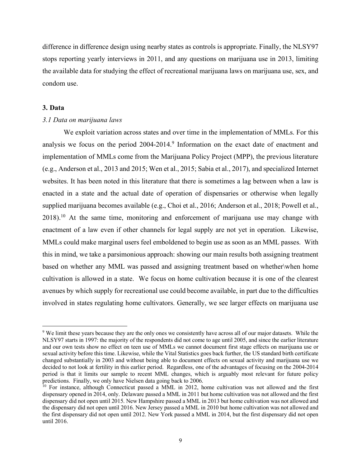difference in difference design using nearby states as controls is appropriate. Finally, the NLSY97 stops reporting yearly interviews in 2011, and any questions on marijuana use in 2013, limiting the available data for studying the effect of recreational marijuana laws on marijuana use, sex, and condom use.

## **3. Data**

 $\overline{a}$ 

## *3.1 Data on marijuana laws*

We exploit variation across states and over time in the implementation of MMLs. For this analysis we focus on the period 2004-2014. <sup>9</sup> Information on the exact date of enactment and implementation of MMLs come from the Marijuana Policy Project (MPP), the previous literature (e.g., Anderson et al., 2013 and 2015; Wen et al., 2015; Sabia et al., 2017), and specialized Internet websites. It has been noted in this literature that there is sometimes a lag between when a law is enacted in a state and the actual date of operation of dispensaries or otherwise when legally supplied marijuana becomes available (e.g., Choi et al., 2016; Anderson et al., 2018; Powell et al., 2018).<sup>10</sup> At the same time, monitoring and enforcement of marijuana use may change with enactment of a law even if other channels for legal supply are not yet in operation. Likewise, MMLs could make marginal users feel emboldened to begin use as soon as an MML passes. With this in mind, we take a parsimonious approach: showing our main results both assigning treatment based on whether any MML was passed and assigning treatment based on whether\when home cultivation is allowed in a state. We focus on home cultivation because it is one of the clearest avenues by which supply for recreational use could become available, in part due to the difficulties involved in states regulating home cultivators. Generally, we see larger effects on marijuana use

<sup>&</sup>lt;sup>9</sup> We limit these years because they are the only ones we consistently have across all of our major datasets. While the NLSY97 starts in 1997: the majority of the respondents did not come to age until 2005, and since the earlier literature and our own tests show no effect on teen use of MMLs we cannot document first stage effects on marijuana use or sexual activity before this time. Likewise, while the Vital Statistics goes back further, the US standard birth certificate changed substantially in 2003 and without being able to document effects on sexual activity and marijuana use we decided to not look at fertility in this earlier period. Regardless, one of the advantages of focusing on the 2004-2014 period is that it limits our sample to recent MML changes, which is arguably most relevant for future policy predictions. Finally, we only have Nielsen data going back to 2006.

 $10$  For instance, although Connecticut passed a MML in 2012, home cultivation was not allowed and the first dispensary opened in 2014, only. Delaware passed a MML in 2011 but home cultivation was not allowed and the first dispensary did not open until 2015. New Hampshire passed a MML in 2013 but home cultivation was not allowed and the dispensary did not open until 2016. New Jersey passed a MML in 2010 but home cultivation was not allowed and the first dispensary did not open until 2012. New York passed a MML in 2014, but the first dispensary did not open until 2016.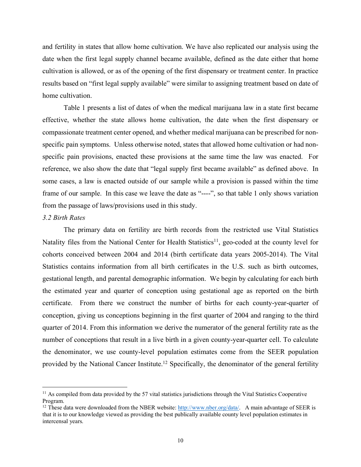and fertility in states that allow home cultivation. We have also replicated our analysis using the date when the first legal supply channel became available, defined as the date either that home cultivation is allowed, or as of the opening of the first dispensary or treatment center. In practice results based on "first legal supply available" were similar to assigning treatment based on date of home cultivation.

Table 1 presents a list of dates of when the medical marijuana law in a state first became effective, whether the state allows home cultivation, the date when the first dispensary or compassionate treatment center opened, and whether medical marijuana can be prescribed for nonspecific pain symptoms. Unless otherwise noted, states that allowed home cultivation or had nonspecific pain provisions, enacted these provisions at the same time the law was enacted. For reference, we also show the date that "legal supply first became available" as defined above. In some cases, a law is enacted outside of our sample while a provision is passed within the time frame of our sample. In this case we leave the date as "----", so that table 1 only shows variation from the passage of laws/provisions used in this study.

#### *3.2 Birth Rates*

 $\overline{a}$ 

The primary data on fertility are birth records from the restricted use Vital Statistics Natality files from the National Center for Health Statistics<sup>11</sup>, geo-coded at the county level for cohorts conceived between 2004 and 2014 (birth certificate data years 2005-2014). The Vital Statistics contains information from all birth certificates in the U.S. such as birth outcomes, gestational length, and parental demographic information. We begin by calculating for each birth the estimated year and quarter of conception using gestational age as reported on the birth certificate. From there we construct the number of births for each county-year-quarter of conception, giving us conceptions beginning in the first quarter of 2004 and ranging to the third quarter of 2014. From this information we derive the numerator of the general fertility rate as the number of conceptions that result in a live birth in a given county-year-quarter cell. To calculate the denominator, we use county-level population estimates come from the SEER population provided by the National Cancer Institute.<sup>12</sup> Specifically, the denominator of the general fertility

<sup>&</sup>lt;sup>11</sup> As compiled from data provided by the 57 vital statistics jurisdictions through the Vital Statistics Cooperative Program.

<sup>&</sup>lt;sup>12</sup> These data were downloaded from the NBER website: http://www.nber.org/data/. A main advantage of SEER is that it is to our knowledge viewed as providing the best publically available county level population estimates in intercensal years.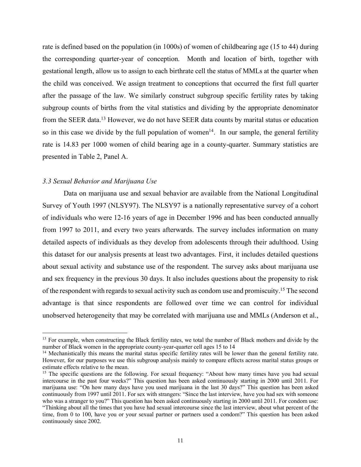rate is defined based on the population (in 1000s) of women of childbearing age (15 to 44) during the corresponding quarter-year of conception. Month and location of birth, together with gestational length, allow us to assign to each birthrate cell the status of MMLs at the quarter when the child was conceived. We assign treatment to conceptions that occurred the first full quarter after the passage of the law. We similarly construct subgroup specific fertility rates by taking subgroup counts of births from the vital statistics and dividing by the appropriate denominator from the SEER data.<sup>13</sup> However, we do not have SEER data counts by marital status or education so in this case we divide by the full population of women<sup>14</sup>. In our sample, the general fertility rate is 14.83 per 1000 women of child bearing age in a county-quarter. Summary statistics are presented in Table 2, Panel A.

## *3.3 Sexual Behavior and Marijuana Use*

 $\overline{a}$ 

Data on marijuana use and sexual behavior are available from the National Longitudinal Survey of Youth 1997 (NLSY97). The NLSY97 is a nationally representative survey of a cohort of individuals who were 12-16 years of age in December 1996 and has been conducted annually from 1997 to 2011, and every two years afterwards. The survey includes information on many detailed aspects of individuals as they develop from adolescents through their adulthood. Using this dataset for our analysis presents at least two advantages. First, it includes detailed questions about sexual activity and substance use of the respondent. The survey asks about marijuana use and sex frequency in the previous 30 days. It also includes questions about the propensity to risk of the respondent with regards to sexual activity such as condom use and promiscuity.<sup>15</sup> The second advantage is that since respondents are followed over time we can control for individual unobserved heterogeneity that may be correlated with marijuana use and MMLs (Anderson et al.,

<sup>&</sup>lt;sup>13</sup> For example, when constructing the Black fertility rates, we total the number of Black mothers and divide by the number of Black women in the appropriate county-year-quarter cell ages 15 to 14

<sup>&</sup>lt;sup>14</sup> Mechanistically this means the marital status specific fertility rates will be lower than the general fertility rate. However, for our purposes we use this subgroup analysis mainly to compare effects across marital status groups or estimate effects relative to the mean.

<sup>&</sup>lt;sup>15</sup> The specific questions are the following. For sexual frequency: "About how many times have you had sexual intercourse in the past four weeks?" This question has been asked continuously starting in 2000 until 2011. For marijuana use: "On how many days have you used marijuana in the last 30 days?" This question has been asked continuously from 1997 until 2011. For sex with strangers: "Since the last interview, have you had sex with someone who was a stranger to you?" This question has been asked continuously starting in 2000 until 2011. For condom use: "Thinking about all the times that you have had sexual intercourse since the last interview, about what percent of the time, from 0 to 100, have you or your sexual partner or partners used a condom?" This question has been asked continuously since 2002.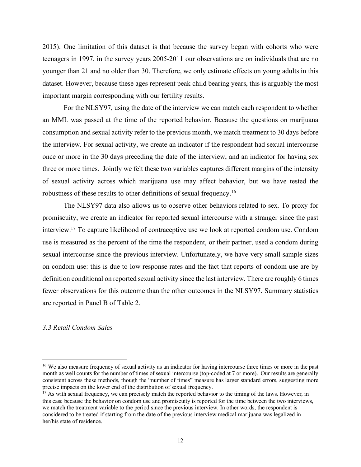2015). One limitation of this dataset is that because the survey began with cohorts who were teenagers in 1997, in the survey years 2005-2011 our observations are on individuals that are no younger than 21 and no older than 30. Therefore, we only estimate effects on young adults in this dataset. However, because these ages represent peak child bearing years, this is arguably the most important margin corresponding with our fertility results.

For the NLSY97, using the date of the interview we can match each respondent to whether an MML was passed at the time of the reported behavior. Because the questions on marijuana consumption and sexual activity refer to the previous month, we match treatment to 30 days before the interview. For sexual activity, we create an indicator if the respondent had sexual intercourse once or more in the 30 days preceding the date of the interview, and an indicator for having sex three or more times. Jointly we felt these two variables captures different margins of the intensity of sexual activity across which marijuana use may affect behavior, but we have tested the robustness of these results to other definitions of sexual frequency.16

The NLSY97 data also allows us to observe other behaviors related to sex. To proxy for promiscuity, we create an indicator for reported sexual intercourse with a stranger since the past interview.17 To capture likelihood of contraceptive use we look at reported condom use. Condom use is measured as the percent of the time the respondent, or their partner, used a condom during sexual intercourse since the previous interview. Unfortunately, we have very small sample sizes on condom use: this is due to low response rates and the fact that reports of condom use are by definition conditional on reported sexual activity since the last interview. There are roughly 6 times fewer observations for this outcome than the other outcomes in the NLSY97. Summary statistics are reported in Panel B of Table 2.

# *3.3 Retail Condom Sales*

 $\overline{a}$ 

<sup>&</sup>lt;sup>16</sup> We also measure frequency of sexual activity as an indicator for having intercourse three times or more in the past month as well counts for the number of times of sexual intercourse (top-coded at 7 or more). Our results are generally consistent across these methods, though the "number of times" measure has larger standard errors, suggesting more precise impacts on the lower end of the distribution of sexual frequency.

 $17$  As with sexual frequency, we can precisely match the reported behavior to the timing of the laws. However, in this case because the behavior on condom use and promiscuity is reported for the time between the two interviews, we match the treatment variable to the period since the previous interview. In other words, the respondent is considered to be treated if starting from the date of the previous interview medical marijuana was legalized in her/his state of residence.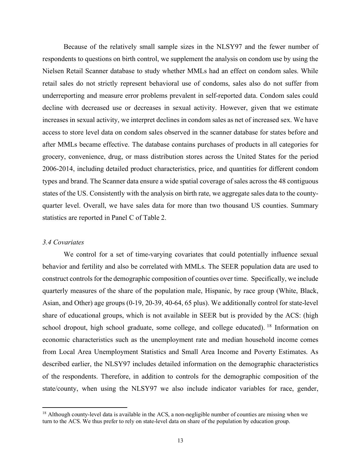Because of the relatively small sample sizes in the NLSY97 and the fewer number of respondents to questions on birth control, we supplement the analysis on condom use by using the Nielsen Retail Scanner database to study whether MMLs had an effect on condom sales. While retail sales do not strictly represent behavioral use of condoms, sales also do not suffer from underreporting and measure error problems prevalent in self-reported data. Condom sales could decline with decreased use or decreases in sexual activity. However, given that we estimate increases in sexual activity, we interpret declines in condom sales as net of increased sex. We have access to store level data on condom sales observed in the scanner database for states before and after MMLs became effective. The database contains purchases of products in all categories for grocery, convenience, drug, or mass distribution stores across the United States for the period 2006-2014, including detailed product characteristics, price, and quantities for different condom types and brand. The Scanner data ensure a wide spatial coverage of sales across the 48 contiguous states of the US. Consistently with the analysis on birth rate, we aggregate sales data to the countyquarter level. Overall, we have sales data for more than two thousand US counties. Summary statistics are reported in Panel C of Table 2.

## *3.4 Covariates*

 $\overline{a}$ 

We control for a set of time-varying covariates that could potentially influence sexual behavior and fertility and also be correlated with MMLs. The SEER population data are used to construct controls for the demographic composition of counties over time. Specifically, we include quarterly measures of the share of the population male, Hispanic, by race group (White, Black, Asian, and Other) age groups (0-19, 20-39, 40-64, 65 plus). We additionally control for state-level share of educational groups, which is not available in SEER but is provided by the ACS: (high school dropout, high school graduate, some college, and college educated). <sup>18</sup> Information on economic characteristics such as the unemployment rate and median household income comes from Local Area Unemployment Statistics and Small Area Income and Poverty Estimates. As described earlier, the NLSY97 includes detailed information on the demographic characteristics of the respondents. Therefore, in addition to controls for the demographic composition of the state/county, when using the NLSY97 we also include indicator variables for race, gender,

<sup>&</sup>lt;sup>18</sup> Although county-level data is available in the ACS, a non-negligible number of counties are missing when we turn to the ACS. We thus prefer to rely on state-level data on share of the population by education group.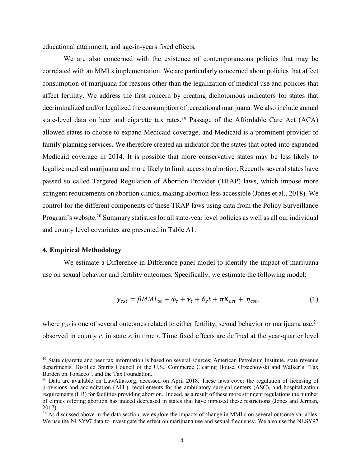educational attainment, and age-in-years fixed effects.

We are also concerned with the existence of contemporaneous policies that may be correlated with an MMLs implementation. We are particularly concerned about policies that affect consumption of marijuana for reasons other than the legalization of medical use and policies that affect fertility. We address the first concern by creating dichotomous indicators for states that decriminalized and/or legalized the consumption of recreational marijuana. We also include annual state-level data on beer and cigarette tax rates.<sup>19</sup> Passage of the Affordable Care Act (ACA) allowed states to choose to expand Medicaid coverage, and Medicaid is a prominent provider of family planning services. We therefore created an indicator for the states that opted-into expanded Medicaid coverage in 2014. It is possible that more conservative states may be less likely to legalize medical marijuana and more likely to limit access to abortion. Recently several states have passed so called Targeted Regulation of Abortion Provider (TRAP) laws, which impose more stringent requirements on abortion clinics, making abortion less accessible (Jones et al., 2018). We control for the different components of these TRAP laws using data from the Policy Surveillance Program's website.<sup>20</sup> Summary statistics for all state-year level policies as well as all our individual and county level covariates are presented in Table A1.

#### **4. Empirical Methodology**

 $\overline{a}$ 

We estimate a Difference-in-Difference panel model to identify the impact of marijuana use on sexual behavior and fertility outcomes. Specifically, we estimate the following model:

$$
y_{cst} = \beta MML_{st} + \phi_c + \gamma_t + \vartheta_s t + \pi X_{cst} + \eta_{cst},
$$
\n(1)

where  $y_{cst}$  is one of several outcomes related to either fertility, sexual behavior or marijuana use,<sup>21</sup> observed in county *c*, in state *s*, in time *t*. Time fixed effects are defined at the year-quarter level

<sup>&</sup>lt;sup>19</sup> State cigarette and beer tax information is based on several sources: American Petroleum Institute, state revenue departments, Distilled Spirits Council of the U.S., Commerce Clearing House, Orzechowski and Walker's "Tax Burden on Tobacco", and the Tax Foundation.

<sup>&</sup>lt;sup>20</sup> Data are available on LawAtlas.org; accessed on April 2018. These laws cover the regulation of licensing of provisions and accreditation (AFL), requirements for the ambulatory surgical centers (ASC), and hospitalization requirements (HR) for facilities providing abortion. Indeed, as a result of these more stringent regulations the number of clinics offering abortion has indeed decreased in states that have imposed these restrictions (Jones and Jerman, 2017).

<sup>&</sup>lt;sup>21</sup> As discussed above in the data section, we explore the impacts of change in MMLs on several outcome variables. We use the NLSY97 data to investigate the effect on marijuana use and sexual frequency. We also use the NLSY97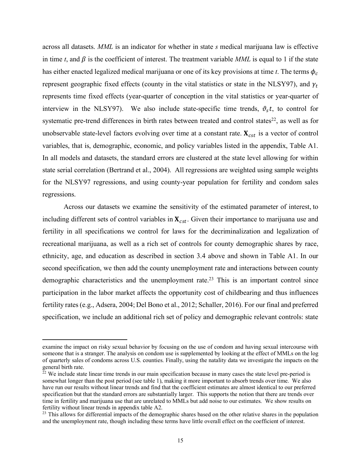across all datasets. *MML* is an indicator for whether in state *s* medical marijuana law is effective in time  $t$ , and  $\beta$  is the coefficient of interest. The treatment variable *MML* is equal to 1 if the state has either enacted legalized medical marijuana or one of its key provisions at time *t*. The terms  $\phi_c$ represent geographic fixed effects (county in the vital statistics or state in the NLSY97), and  $\gamma_t$ represents time fixed effects (year-quarter of conception in the vital statistics or year-quarter of interview in the NLSY97). We also include state-specific time trends,  $\vartheta_s t$ , to control for systematic pre-trend differences in birth rates between treated and control states $22$ , as well as for unobservable state-level factors evolving over time at a constant rate.  $\mathbf{X}_{cst}$  is a vector of control variables, that is, demographic, economic, and policy variables listed in the appendix, Table A1. In all models and datasets, the standard errors are clustered at the state level allowing for within state serial correlation (Bertrand et al., 2004). All regressions are weighted using sample weights for the NLSY97 regressions, and using county-year population for fertility and condom sales regressions.

Across our datasets we examine the sensitivity of the estimated parameter of interest, to including different sets of control variables in  $X_{cst}$ . Given their importance to marijuana use and fertility in all specifications we control for laws for the decriminalization and legalization of recreational marijuana, as well as a rich set of controls for county demographic shares by race, ethnicity, age, and education as described in section 3.4 above and shown in Table A1. In our second specification, we then add the county unemployment rate and interactions between county demographic characteristics and the unemployment rate.<sup>23</sup> This is an important control since participation in the labor market affects the opportunity cost of childbearing and thus influences fertility rates (e.g., Adsera, 2004; Del Bono et al., 2012; Schaller, 2016). For our final and preferred specification, we include an additional rich set of policy and demographic relevant controls: state

 $\overline{a}$ 

examine the impact on risky sexual behavior by focusing on the use of condom and having sexual intercourse with someone that is a stranger. The analysis on condom use is supplemented by looking at the effect of MMLs on the log of quarterly sales of condoms across U.S. counties. Finally, using the natality data we investigate the impacts on the general birth rate.

 $22$  We include state linear time trends in our main specification because in many cases the state level pre-period is somewhat longer than the post period (see table 1), making it more important to absorb trends over time. We also have run our results without linear trends and find that the coefficient estimates are almost identical to our preferred specification but that the standard errors are substantially larger. This supports the notion that there are trends over time in fertility and marijuana use that are unrelated to MMLs but add noise to our estimates. We show results on fertility without linear trends in appendix table A2.

<sup>&</sup>lt;sup>23</sup> This allows for differential impacts of the demographic shares based on the other relative shares in the population and the unemployment rate, though including these terms have little overall effect on the coefficient of interest.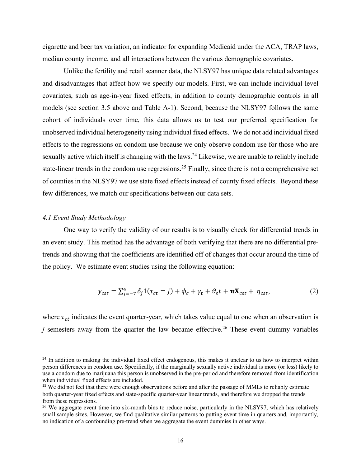cigarette and beer tax variation, an indicator for expanding Medicaid under the ACA, TRAP laws, median county income, and all interactions between the various demographic covariates.

Unlike the fertility and retail scanner data, the NLSY97 has unique data related advantages and disadvantages that affect how we specify our models. First, we can include individual level covariates, such as age-in-year fixed effects, in addition to county demographic controls in all models (see section 3.5 above and Table A-1). Second, because the NLSY97 follows the same cohort of individuals over time, this data allows us to test our preferred specification for unobserved individual heterogeneity using individual fixed effects. We do not add individual fixed effects to the regressions on condom use because we only observe condom use for those who are sexually active which itself is changing with the laws.<sup>24</sup> Likewise, we are unable to reliably include state-linear trends in the condom use regressions.<sup>25</sup> Finally, since there is not a comprehensive set of counties in the NLSY97 we use state fixed effects instead of county fixed effects. Beyond these few differences, we match our specifications between our data sets.

## *4.1 Event Study Methodology*

 $\overline{a}$ 

One way to verify the validity of our results is to visually check for differential trends in an event study. This method has the advantage of both verifying that there are no differential pretrends and showing that the coefficients are identified off of changes that occur around the time of the policy. We estimate event studies using the following equation:

$$
y_{cst} = \sum_{j=-7}^{4} \delta_j \mathbf{1}(\tau_{ct} = j) + \phi_c + \gamma_t + \vartheta_s t + \pi \mathbf{X}_{cst} + \eta_{cst},\tag{2}
$$

where  $\tau_{ct}$  indicates the event quarter-year, which takes value equal to one when an observation is *j* semesters away from the quarter the law became effective.<sup>26</sup> These event dummy variables

 $24$  In addition to making the individual fixed effect endogenous, this makes it unclear to us how to interpret within person differences in condom use. Specifically, if the marginally sexually active individual is more (or less) likely to use a condom due to marijuana this person is unobserved in the pre-period and therefore removed from identification when individual fixed effects are included.

<sup>&</sup>lt;sup>25</sup> We did not feel that there were enough observations before and after the passage of MMLs to reliably estimate both quarter-year fixed effects and state-specific quarter-year linear trends, and therefore we dropped the trends from these regressions.

<sup>&</sup>lt;sup>26</sup> We aggregate event time into six-month bins to reduce noise, particularly in the NLSY97, which has relatively small sample sizes. However, we find qualitative similar patterns to putting event time in quarters and, importantly, no indication of a confounding pre-trend when we aggregate the event dummies in other ways.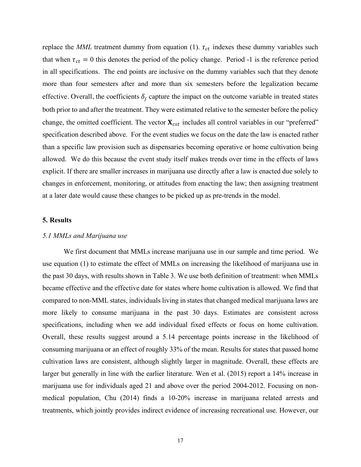replace the *MML* treatment dummy from equation (1).  $\tau_{ct}$  indexes these dummy variables such that when  $\tau_{ct} = 0$  this denotes the period of the policy change. Period -1 is the reference period in all specifications. The end points are inclusive on the dummy variables such that they denote more than four semesters after and more than six semesters before the legalization became effective. Overall, the coefficients  $\delta_i$  capture the impact on the outcome variable in treated states both prior to and after the treatment. They were estimated relative to the semester before the policy change, the omitted coefficient. The vector  $\mathbf{X}_{cst}$  includes all control variables in our "preferred" specification described above. For the event studies we focus on the date the law is enacted rather than a specific law provision such as dispensaries becoming operative or home cultivation being allowed. We do this because the event study itself makes trends over time in the effects of laws explicit. If there are smaller increases in marijuana use directly after a law is enacted due solely to changes in enforcement, monitoring, or attitudes from enacting the law; then assigning treatment at a later date would cause these changes to be picked up as pre-trends in the model.

## **5. Results**

#### *5.1 MMLs and Marijuana use*

We first document that MMLs increase marijuana use in our sample and time period. We use equation (1) to estimate the effect of MMLs on increasing the likelihood of marijuana use in the past 30 days, with results shown in Table 3. We use both definition of treatment: when MMLs became effective and the effective date for states where home cultivation is allowed. We find that compared to non-MML states, individuals living in states that changed medical marijuana laws are more likely to consume marijuana in the past 30 days. Estimates are consistent across specifications, including when we add individual fixed effects or focus on home cultivation. Overall, these results suggest around a 5.14 percentage points increase in the likelihood of consuming marijuana or an effect of roughly 33% of the mean. Results for states that passed home cultivation laws are consistent, although slightly larger in magnitude. Overall, these effects are larger but generally in line with the earlier literature. Wen et al. (2015) report a 14% increase in marijuana use for individuals aged 21 and above over the period 2004-2012. Focusing on nonmedical population, Chu (2014) finds a 10-20% increase in marijuana related arrests and treatments, which jointly provides indirect evidence of increasing recreational use. However, our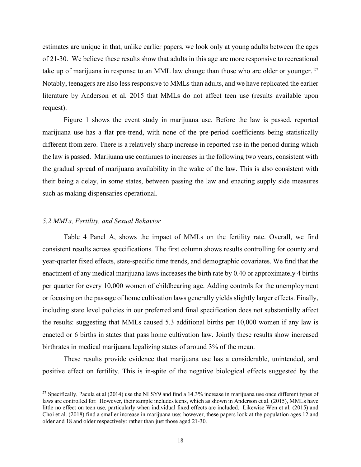estimates are unique in that, unlike earlier papers, we look only at young adults between the ages of 21-30. We believe these results show that adults in this age are more responsive to recreational take up of marijuana in response to an MML law change than those who are older or younger.<sup>27</sup> Notably, teenagers are also less responsive to MMLs than adults, and we have replicated the earlier literature by Anderson et al. 2015 that MMLs do not affect teen use (results available upon request).

Figure 1 shows the event study in marijuana use. Before the law is passed, reported marijuana use has a flat pre-trend, with none of the pre-period coefficients being statistically different from zero. There is a relatively sharp increase in reported use in the period during which the law is passed. Marijuana use continues to increases in the following two years, consistent with the gradual spread of marijuana availability in the wake of the law. This is also consistent with their being a delay, in some states, between passing the law and enacting supply side measures such as making dispensaries operational.

## *5.2 MMLs, Fertility, and Sexual Behavior*

 $\overline{a}$ 

Table 4 Panel A, shows the impact of MMLs on the fertility rate. Overall, we find consistent results across specifications. The first column shows results controlling for county and year-quarter fixed effects, state-specific time trends, and demographic covariates. We find that the enactment of any medical marijuana laws increases the birth rate by 0.40 or approximately 4 births per quarter for every 10,000 women of childbearing age. Adding controls for the unemployment or focusing on the passage of home cultivation laws generally yields slightly larger effects. Finally, including state level policies in our preferred and final specification does not substantially affect the results: suggesting that MMLs caused 5.3 additional births per 10,000 women if any law is enacted or 6 births in states that pass home cultivation law. Jointly these results show increased birthrates in medical marijuana legalizing states of around 3% of the mean.

These results provide evidence that marijuana use has a considerable, unintended, and positive effect on fertility. This is in-spite of the negative biological effects suggested by the

<sup>&</sup>lt;sup>27</sup> Specifically, Pacula et al (2014) use the NLSY9 and find a 14.3% increase in marijuana use once different types of laws are controlled for. However, their sample includesteens, which as shown in Anderson et al. (2015), MMLs have little no effect on teen use, particularly when individual fixed effects are included. Likewise Wen et al. (2015) and Choi et al. (2018) find a smaller increase in marijuana use; however, these papers look at the population ages 12 and older and 18 and older respectively: rather than just those aged 21-30.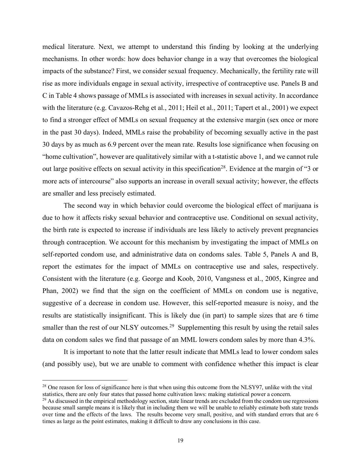medical literature. Next, we attempt to understand this finding by looking at the underlying mechanisms. In other words: how does behavior change in a way that overcomes the biological impacts of the substance? First, we consider sexual frequency. Mechanically, the fertility rate will rise as more individuals engage in sexual activity, irrespective of contraceptive use. Panels B and C in Table 4 shows passage of MMLs is associated with increases in sexual activity. In accordance with the literature (e.g. Cavazos-Rehg et al., 2011; Heil et al., 2011; Tapert et al., 2001) we expect to find a stronger effect of MMLs on sexual frequency at the extensive margin (sex once or more in the past 30 days). Indeed, MMLs raise the probability of becoming sexually active in the past 30 days by as much as 6.9 percent over the mean rate. Results lose significance when focusing on "home cultivation", however are qualitatively similar with a t-statistic above 1, and we cannot rule out large positive effects on sexual activity in this specification<sup>28</sup>. Evidence at the margin of "3 or more acts of intercourse" also supports an increase in overall sexual activity; however, the effects are smaller and less precisely estimated.

The second way in which behavior could overcome the biological effect of marijuana is due to how it affects risky sexual behavior and contraceptive use. Conditional on sexual activity, the birth rate is expected to increase if individuals are less likely to actively prevent pregnancies through contraception. We account for this mechanism by investigating the impact of MMLs on self-reported condom use, and administrative data on condoms sales. Table 5, Panels A and B, report the estimates for the impact of MMLs on contraceptive use and sales, respectively. Consistent with the literature (e.g. George and Koob, 2010, Vangsness et al., 2005, Kingree and Phan, 2002) we find that the sign on the coefficient of MMLs on condom use is negative, suggestive of a decrease in condom use. However, this self-reported measure is noisy, and the results are statistically insignificant. This is likely due (in part) to sample sizes that are 6 time smaller than the rest of our NLSY outcomes.<sup>29</sup> Supplementing this result by using the retail sales data on condom sales we find that passage of an MML lowers condom sales by more than 4.3%.

It is important to note that the latter result indicate that MMLs lead to lower condom sales (and possibly use), but we are unable to comment with confidence whether this impact is clear

 $\overline{a}$ 

<sup>&</sup>lt;sup>28</sup> One reason for loss of significance here is that when using this outcome from the NLSY97, unlike with the vital statistics, there are only four states that passed home cultivation laws: making statistical power a concern.

 $^{29}$  As discussed in the empirical methodology section, state linear trends are excluded from the condom use regressions because small sample means it is likely that in including them we will be unable to reliably estimate both state trends over time and the effects of the laws. The results become very small, positive, and with standard errors that are 6 times as large as the point estimates, making it difficult to draw any conclusions in this case.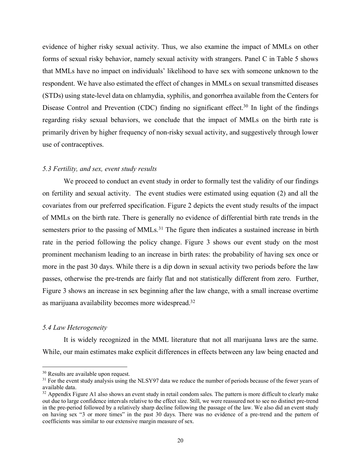evidence of higher risky sexual activity. Thus, we also examine the impact of MMLs on other forms of sexual risky behavior, namely sexual activity with strangers. Panel C in Table 5 shows that MMLs have no impact on individuals' likelihood to have sex with someone unknown to the respondent. We have also estimated the effect of changes in MMLs on sexual transmitted diseases (STDs) using state-level data on chlamydia, syphilis, and gonorrhea available from the Centers for Disease Control and Prevention (CDC) finding no significant effect.<sup>30</sup> In light of the findings regarding risky sexual behaviors, we conclude that the impact of MMLs on the birth rate is primarily driven by higher frequency of non-risky sexual activity, and suggestively through lower use of contraceptives.

## *5.3 Fertility, and sex, event study results*

We proceed to conduct an event study in order to formally test the validity of our findings on fertility and sexual activity. The event studies were estimated using equation (2) and all the covariates from our preferred specification. Figure 2 depicts the event study results of the impact of MMLs on the birth rate. There is generally no evidence of differential birth rate trends in the semesters prior to the passing of MMLs.<sup>31</sup> The figure then indicates a sustained increase in birth rate in the period following the policy change. Figure 3 shows our event study on the most prominent mechanism leading to an increase in birth rates: the probability of having sex once or more in the past 30 days. While there is a dip down in sexual activity two periods before the law passes, otherwise the pre-trends are fairly flat and not statistically different from zero. Further, Figure 3 shows an increase in sex beginning after the law change, with a small increase overtime as marijuana availability becomes more widespread.<sup>32</sup>

## *5.4 Law Heterogeneity*

 $\overline{a}$ 

It is widely recognized in the MML literature that not all marijuana laws are the same. While, our main estimates make explicit differences in effects between any law being enacted and

<sup>&</sup>lt;sup>30</sup> Results are available upon request.

<sup>&</sup>lt;sup>31</sup> For the event study analysis using the NLSY97 data we reduce the number of periods because of the fewer years of available data.

 $32$  Appendix Figure A1 also shows an event study in retail condom sales. The pattern is more difficult to clearly make out due to large confidence intervals relative to the effect size. Still, we were reassured not to see no distinct pre-trend in the pre-period followed by a relatively sharp decline following the passage of the law. We also did an event study on having sex "3 or more times" in the past 30 days. There was no evidence of a pre-trend and the pattern of coefficients was similar to our extensive margin measure of sex.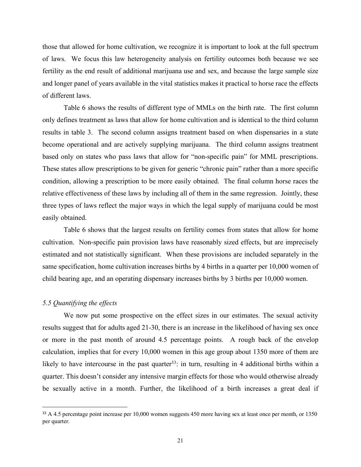those that allowed for home cultivation, we recognize it is important to look at the full spectrum of laws. We focus this law heterogeneity analysis on fertility outcomes both because we see fertility as the end result of additional marijuana use and sex, and because the large sample size and longer panel of years available in the vital statistics makes it practical to horse race the effects of different laws.

Table 6 shows the results of different type of MMLs on the birth rate. The first column only defines treatment as laws that allow for home cultivation and is identical to the third column results in table 3. The second column assigns treatment based on when dispensaries in a state become operational and are actively supplying marijuana. The third column assigns treatment based only on states who pass laws that allow for "non-specific pain" for MML prescriptions. These states allow prescriptions to be given for generic "chronic pain" rather than a more specific condition, allowing a prescription to be more easily obtained. The final column horse races the relative effectiveness of these laws by including all of them in the same regression. Jointly, these three types of laws reflect the major ways in which the legal supply of marijuana could be most easily obtained.

Table 6 shows that the largest results on fertility comes from states that allow for home cultivation. Non-specific pain provision laws have reasonably sized effects, but are imprecisely estimated and not statistically significant. When these provisions are included separately in the same specification, home cultivation increases births by 4 births in a quarter per 10,000 women of child bearing age, and an operating dispensary increases births by 3 births per 10,000 women.

# *5.5 Quantifying the effects*

We now put some prospective on the effect sizes in our estimates. The sexual activity results suggest that for adults aged 21-30, there is an increase in the likelihood of having sex once or more in the past month of around 4.5 percentage points. A rough back of the envelop calculation, implies that for every 10,000 women in this age group about 1350 more of them are likely to have intercourse in the past quarter<sup>33</sup>: in turn, resulting in 4 additional births within a quarter. This doesn't consider any intensive margin effects for those who would otherwise already be sexually active in a month. Further, the likelihood of a birth increases a great deal if

<sup>&</sup>lt;sup>33</sup> A 4.5 percentage point increase per 10,000 women suggests 450 more having sex at least once per month, or 1350 per quarter.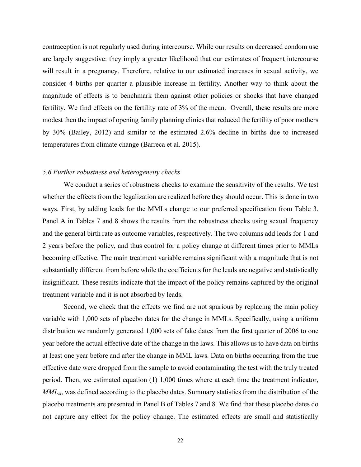contraception is not regularly used during intercourse. While our results on decreased condom use are largely suggestive: they imply a greater likelihood that our estimates of frequent intercourse will result in a pregnancy. Therefore, relative to our estimated increases in sexual activity, we consider 4 births per quarter a plausible increase in fertility. Another way to think about the magnitude of effects is to benchmark them against other policies or shocks that have changed fertility. We find effects on the fertility rate of 3% of the mean. Overall, these results are more modest then the impact of opening family planning clinics that reduced the fertility of poor mothers by 30% (Bailey, 2012) and similar to the estimated 2.6% decline in births due to increased temperatures from climate change (Barreca et al. 2015).

#### *5.6 Further robustness and heterogeneity checks*

We conduct a series of robustness checks to examine the sensitivity of the results. We test whether the effects from the legalization are realized before they should occur. This is done in two ways. First, by adding leads for the MMLs change to our preferred specification from Table 3. Panel A in Tables 7 and 8 shows the results from the robustness checks using sexual frequency and the general birth rate as outcome variables, respectively. The two columns add leads for 1 and 2 years before the policy, and thus control for a policy change at different times prior to MMLs becoming effective. The main treatment variable remains significant with a magnitude that is not substantially different from before while the coefficients for the leads are negative and statistically insignificant. These results indicate that the impact of the policy remains captured by the original treatment variable and it is not absorbed by leads.

Second, we check that the effects we find are not spurious by replacing the main policy variable with 1,000 sets of placebo dates for the change in MMLs. Specifically, using a uniform distribution we randomly generated 1,000 sets of fake dates from the first quarter of 2006 to one year before the actual effective date of the change in the laws. This allows us to have data on births at least one year before and after the change in MML laws. Data on births occurring from the true effective date were dropped from the sample to avoid contaminating the test with the truly treated period. Then, we estimated equation (1) 1,000 times where at each time the treatment indicator, *MMLst*, was defined according to the placebo dates. Summary statistics from the distribution of the placebo treatments are presented in Panel B of Tables 7 and 8. We find that these placebo dates do not capture any effect for the policy change. The estimated effects are small and statistically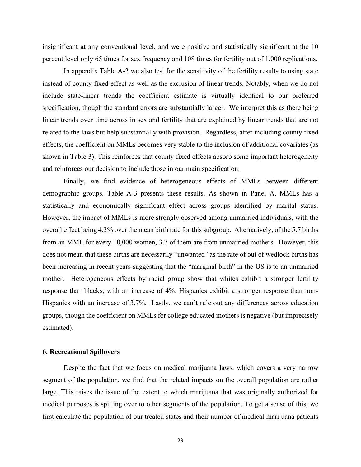insignificant at any conventional level, and were positive and statistically significant at the 10 percent level only 65 times for sex frequency and 108 times for fertility out of 1,000 replications.

In appendix Table A-2 we also test for the sensitivity of the fertility results to using state instead of county fixed effect as well as the exclusion of linear trends. Notably, when we do not include state-linear trends the coefficient estimate is virtually identical to our preferred specification, though the standard errors are substantially larger. We interpret this as there being linear trends over time across in sex and fertility that are explained by linear trends that are not related to the laws but help substantially with provision. Regardless, after including county fixed effects, the coefficient on MMLs becomes very stable to the inclusion of additional covariates (as shown in Table 3). This reinforces that county fixed effects absorb some important heterogeneity and reinforces our decision to include those in our main specification.

Finally, we find evidence of heterogeneous effects of MMLs between different demographic groups. Table A-3 presents these results. As shown in Panel A, MMLs has a statistically and economically significant effect across groups identified by marital status. However, the impact of MMLs is more strongly observed among unmarried individuals, with the overall effect being 4.3% over the mean birth rate for this subgroup. Alternatively, of the 5.7 births from an MML for every 10,000 women, 3.7 of them are from unmarried mothers. However, this does not mean that these births are necessarily "unwanted" as the rate of out of wedlock births has been increasing in recent years suggesting that the "marginal birth" in the US is to an unmarried mother. Heterogeneous effects by racial group show that whites exhibit a stronger fertility response than blacks; with an increase of 4%. Hispanics exhibit a stronger response than non-Hispanics with an increase of 3.7%. Lastly, we can't rule out any differences across education groups, though the coefficient on MMLs for college educated mothers is negative (but imprecisely estimated).

## **6. Recreational Spillovers**

Despite the fact that we focus on medical marijuana laws, which covers a very narrow segment of the population, we find that the related impacts on the overall population are rather large. This raises the issue of the extent to which marijuana that was originally authorized for medical purposes is spilling over to other segments of the population. To get a sense of this, we first calculate the population of our treated states and their number of medical marijuana patients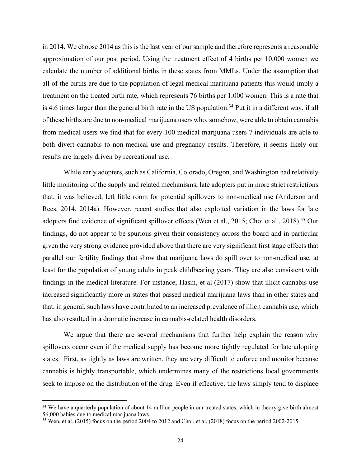in 2014. We choose 2014 as this is the last year of our sample and therefore represents a reasonable approximation of our post period. Using the treatment effect of 4 births per 10,000 women we calculate the number of additional births in these states from MMLs. Under the assumption that all of the births are due to the population of legal medical marijuana patients this would imply a treatment on the treated birth rate, which represents 76 births per 1,000 women. This is a rate that is 4.6 times larger than the general birth rate in the US population. <sup>34</sup> Put it in a different way, if all of these births are due to non-medical marijuana users who, somehow, were able to obtain cannabis from medical users we find that for every 100 medical marijuana users 7 individuals are able to both divert cannabis to non-medical use and pregnancy results. Therefore, it seems likely our results are largely driven by recreational use.

While early adopters, such as California, Colorado, Oregon, and Washington had relatively little monitoring of the supply and related mechanisms, late adopters put in more strict restrictions that, it was believed, left little room for potential spillovers to non-medical use (Anderson and Rees, 2014, 2014a). However, recent studies that also exploited variation in the laws for late adopters find evidence of significant spillover effects (Wen et al., 2015; Choi et al., 2018). <sup>35</sup> Our findings, do not appear to be spurious given their consistency across the board and in particular given the very strong evidence provided above that there are very significant first stage effects that parallel our fertility findings that show that marijuana laws do spill over to non-medical use, at least for the population of young adults in peak childbearing years. They are also consistent with findings in the medical literature. For instance, Hasin, et al (2017) show that illicit cannabis use increased significantly more in states that passed medical marijuana laws than in other states and that, in general, such laws have contributed to an increased prevalence of illicit cannabis use, which has also resulted in a dramatic increase in cannabis-related health disorders.

We argue that there are several mechanisms that further help explain the reason why spillovers occur even if the medical supply has become more tightly regulated for late adopting states. First, as tightly as laws are written, they are very difficult to enforce and monitor because cannabis is highly transportable, which undermines many of the restrictions local governments seek to impose on the distribution of the drug. Even if effective, the laws simply tend to displace

 $\overline{a}$ 

<sup>&</sup>lt;sup>34</sup> We have a quarterly population of about 14 million people in our treated states, which in theory give birth almost 56,000 babies due to medical marijuana laws.

<sup>&</sup>lt;sup>35</sup> Wen, et al. (2015) focus on the period 2004 to 2012 and Choi, et al, (2018) focus on the period 2002-2015.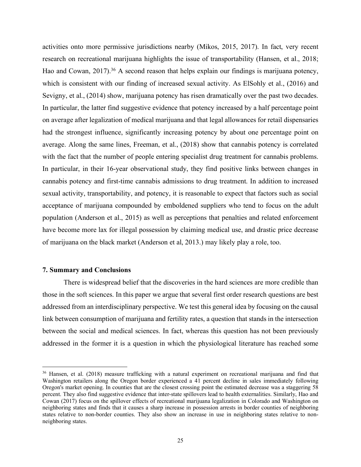activities onto more permissive jurisdictions nearby (Mikos, 2015, 2017). In fact, very recent research on recreational marijuana highlights the issue of transportability (Hansen, et al., 2018; Hao and Cowan,  $2017$ ).<sup>36</sup> A second reason that helps explain our findings is marijuana potency, which is consistent with our finding of increased sexual activity. As ElSohly et al., (2016) and Sevigny, et al., (2014) show, marijuana potency has risen dramatically over the past two decades. In particular, the latter find suggestive evidence that potency increased by a half percentage point on average after legalization of medical marijuana and that legal allowances for retail dispensaries had the strongest influence, significantly increasing potency by about one percentage point on average. Along the same lines, Freeman, et al., (2018) show that cannabis potency is correlated with the fact that the number of people entering specialist drug treatment for cannabis problems. In particular, in their 16-year observational study, they find positive links between changes in cannabis potency and first-time cannabis admissions to drug treatment. In addition to increased sexual activity, transportability, and potency, it is reasonable to expect that factors such as social acceptance of marijuana compounded by emboldened suppliers who tend to focus on the adult population (Anderson et al., 2015) as well as perceptions that penalties and related enforcement have become more lax for illegal possession by claiming medical use, and drastic price decrease of marijuana on the black market (Anderson et al, 2013.) may likely play a role, too.

## **7. Summary and Conclusions**

 $\overline{a}$ 

There is widespread belief that the discoveries in the hard sciences are more credible than those in the soft sciences. In this paper we argue that several first order research questions are best addressed from an interdisciplinary perspective. We test this general idea by focusing on the causal link between consumption of marijuana and fertility rates, a question that stands in the intersection between the social and medical sciences. In fact, whereas this question has not been previously addressed in the former it is a question in which the physiological literature has reached some

<sup>&</sup>lt;sup>36</sup> Hansen, et al. (2018) measure trafficking with a natural experiment on recreational marijuana and find that Washington retailers along the Oregon border experienced a 41 percent decline in sales immediately following Oregon's market opening. In counties that are the closest crossing point the estimated decrease was a staggering 58 percent. They also find suggestive evidence that inter-state spillovers lead to health externalities. Similarly, Hao and Cowan (2017) focus on the spillover effects of recreational marijuana legalization in Colorado and Washington on neighboring states and finds that it causes a sharp increase in possession arrests in border counties of neighboring states relative to non-border counties. They also show an increase in use in neighboring states relative to nonneighboring states.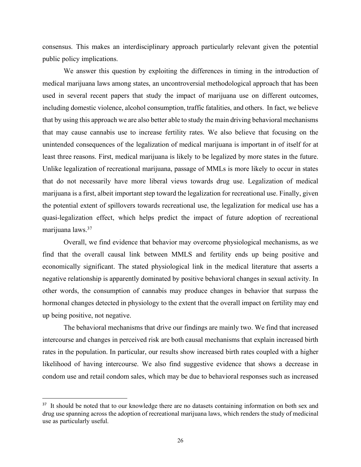consensus. This makes an interdisciplinary approach particularly relevant given the potential public policy implications.

We answer this question by exploiting the differences in timing in the introduction of medical marijuana laws among states, an uncontroversial methodological approach that has been used in several recent papers that study the impact of marijuana use on different outcomes, including domestic violence, alcohol consumption, traffic fatalities, and others. In fact, we believe that by using this approach we are also better able to study the main driving behavioral mechanisms that may cause cannabis use to increase fertility rates. We also believe that focusing on the unintended consequences of the legalization of medical marijuana is important in of itself for at least three reasons. First, medical marijuana is likely to be legalized by more states in the future. Unlike legalization of recreational marijuana, passage of MMLs is more likely to occur in states that do not necessarily have more liberal views towards drug use. Legalization of medical marijuana is a first, albeit important step toward the legalization for recreational use. Finally, given the potential extent of spillovers towards recreational use, the legalization for medical use has a quasi-legalization effect, which helps predict the impact of future adoption of recreational marijuana laws.37

Overall, we find evidence that behavior may overcome physiological mechanisms, as we find that the overall causal link between MMLS and fertility ends up being positive and economically significant. The stated physiological link in the medical literature that asserts a negative relationship is apparently dominated by positive behavioral changes in sexual activity. In other words, the consumption of cannabis may produce changes in behavior that surpass the hormonal changes detected in physiology to the extent that the overall impact on fertility may end up being positive, not negative.

The behavioral mechanisms that drive our findings are mainly two. We find that increased intercourse and changes in perceived risk are both causal mechanisms that explain increased birth rates in the population. In particular, our results show increased birth rates coupled with a higher likelihood of having intercourse. We also find suggestive evidence that shows a decrease in condom use and retail condom sales, which may be due to behavioral responses such as increased

<sup>&</sup>lt;sup>37</sup> It should be noted that to our knowledge there are no datasets containing information on both sex and drug use spanning across the adoption of recreational marijuana laws, which renders the study of medicinal use as particularly useful.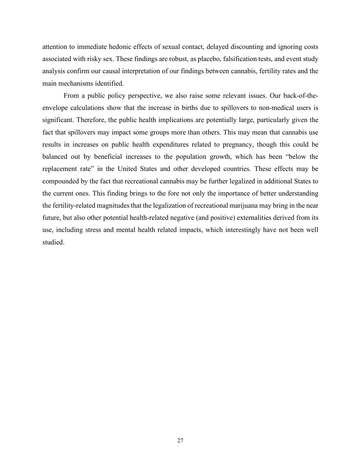attention to immediate hedonic effects of sexual contact, delayed discounting and ignoring costs associated with risky sex. These findings are robust, as placebo, falsification tests, and event study analysis confirm our causal interpretation of our findings between cannabis, fertility rates and the main mechanisms identified.

From a public policy perspective, we also raise some relevant issues. Our back-of-theenvelope calculations show that the increase in births due to spillovers to non-medical users is significant. Therefore, the public health implications are potentially large, particularly given the fact that spillovers may impact some groups more than others. This may mean that cannabis use results in increases on public health expenditures related to pregnancy, though this could be balanced out by beneficial increases to the population growth, which has been "below the replacement rate" in the United States and other developed countries. These effects may be compounded by the fact that recreational cannabis may be further legalized in additional States to the current ones. This finding brings to the fore not only the importance of better understanding the fertility-related magnitudes that the legalization of recreational marijuana may bring in the near future, but also other potential health-related negative (and positive) externalities derived from its use, including stress and mental health related impacts, which interestingly have not been well studied.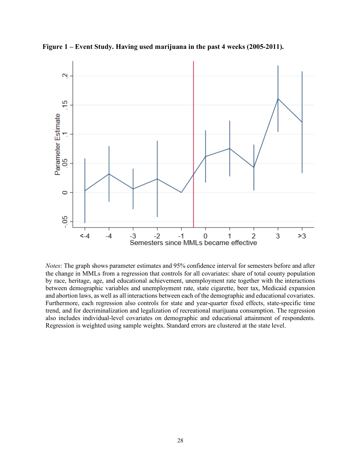

**Figure 1 – Event Study. Having used marijuana in the past 4 weeks (2005-2011).**

*Notes*: The graph shows parameter estimates and 95% confidence interval for semesters before and after the change in MMLs from a regression that controls for all covariates: share of total county population by race, heritage, age, and educational achievement, unemployment rate together with the interactions between demographic variables and unemployment rate, state cigarette, beer tax, Medicaid expansion and abortion laws, as well as all interactions between each of the demographic and educational covariates. Furthermore, each regression also controls for state and year-quarter fixed effects, state-specific time trend, and for decriminalization and legalization of recreational marijuana consumption. The regression also includes individual-level covariates on demographic and educational attainment of respondents. Regression is weighted using sample weights. Standard errors are clustered at the state level.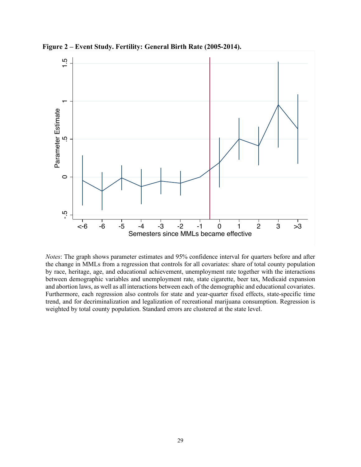

**Figure 2 – Event Study. Fertility: General Birth Rate (2005-2014).**

*Notes*: The graph shows parameter estimates and 95% confidence interval for quarters before and after the change in MMLs from a regression that controls for all covariates: share of total county population by race, heritage, age, and educational achievement, unemployment rate together with the interactions between demographic variables and unemployment rate, state cigarette, beer tax, Medicaid expansion and abortion laws, as well as all interactions between each of the demographic and educational covariates. Furthermore, each regression also controls for state and year-quarter fixed effects, state-specific time trend, and for decriminalization and legalization of recreational marijuana consumption. Regression is Weighted by total county population. Standard errors are clustered at the state level.<br>Weighted by total county population. Notes: The graph shows parameter estimates and 95% confidence interval for quare the change in MM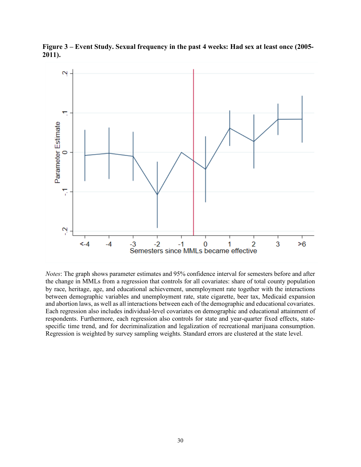

**Figure 3 – Event Study. Sexual frequency in the past 4 weeks: Had sex at least once (2005- 2011).**

*Notes*: The graph shows parameter estimates and 95% confidence interval for semesters before and after the change in MMLs from a regression that controls for all covariates: share of total county population by race, heritage, age, and educational achievement, unemployment rate together with the interactions between demographic variables and unemployment rate, state cigarette, beer tax, Medicaid expansion and abortion laws, as well as all interactions between each of the demographic and educational covariates. Each regression also includes individual-level covariates on demographic and educational attainment of respondents. Furthermore, each regression also controls for state and year-quarter fixed effects, statespecific time trend, and for decriminalization and legalization of recreational marijuana consumption. Regression is weighted by survey sampling weights. Standard errors are clustered at the state level.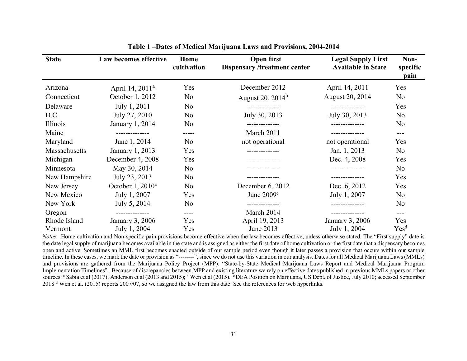| <b>State</b>  | Law becomes effective        | Home<br>cultivation | Open first<br><b>Dispensary /treatment center</b> | <b>Legal Supply First</b><br><b>Available in State</b> | Non-<br>specific<br>pain |
|---------------|------------------------------|---------------------|---------------------------------------------------|--------------------------------------------------------|--------------------------|
| Arizona       | April 14, 2011 <sup>a</sup>  | Yes                 | December 2012                                     | April 14, 2011                                         | Yes                      |
| Connecticut   | October 1, 2012              | N <sub>o</sub>      | August 20, $2014^b$                               | August 20, 2014                                        | N <sub>o</sub>           |
| Delaware      | July 1, 2011                 | N <sub>o</sub>      | --------------                                    | --------------                                         | Yes                      |
| D.C.          | July 27, 2010                | N <sub>o</sub>      | July 30, 2013                                     | July 30, 2013                                          | N <sub>o</sub>           |
| Illinois      | January 1, 2014              | N <sub>o</sub>      | --------------                                    |                                                        | N <sub>o</sub>           |
| Maine         | --------------               | -----               | March 2011                                        |                                                        | $---$                    |
| Maryland      | June 1, 2014                 | N <sub>o</sub>      | not operational                                   | not operational                                        | Yes                      |
| Massachusetts | January 1, 2013              | Yes                 |                                                   | Jan. 1, 2013                                           | N <sub>o</sub>           |
| Michigan      | December 4, 2008             | Yes                 |                                                   | Dec. 4, 2008                                           | Yes                      |
| Minnesota     | May 30, 2014                 | N <sub>o</sub>      |                                                   |                                                        | N <sub>o</sub>           |
| New Hampshire | July 23, 2013                | N <sub>o</sub>      |                                                   |                                                        | Yes                      |
| New Jersey    | October 1, 2010 <sup>a</sup> | N <sub>o</sub>      | December 6, 2012                                  | Dec. 6, 2012                                           | Yes                      |
| New Mexico    | July 1, 2007                 | Yes                 | June 2009 <sup>c</sup>                            | July 1, 2007                                           | N <sub>o</sub>           |
| New York      | July 5, 2014                 | N <sub>o</sub>      |                                                   |                                                        | N <sub>o</sub>           |
| Oregon        |                              | ----                | March 2014                                        |                                                        | $---$                    |
| Rhode Island  | January 3, 2006              | Yes                 | April 19, 2013                                    | January 3, 2006                                        | Yes                      |
| Vermont       | July 1, 2004                 | Yes                 | June 2013                                         | July 1, 2004                                           | Yes <sup>d</sup>         |

**Table 1 –Dates of Medical Marijuana Laws and Provisions, 2004-2014**

*Notes*: Home cultivation and Non-specific pain provisions become effective when the law becomes effective, unless otherwise stated. The "First supply" date is the date legal supply of marijuana becomes available in the state and is assigned as either the first date of home cultivation or the first date that a dispensary becomes open and active. Sometimes an MML first becomes enacted outside of our sample period even though it later passes a provision that occurs within our sample timeline. In these cases, we mark the date or provision as "--------", since we do not use this variation in our analysis. Dates for all Medical Marijuana Laws (MMLs) and provisions are gathered from the Marijuana Policy Project (MPP): "State-by-State Medical Marijuana Laws Report and Medical Marijuana Program Implementation Timelines". Because of discrepancies between MPP and existing literature we rely on effective dates published in previous MMLs papers or other sources: <sup>a</sup> Sabia et al (2017); Anderson et al (2013 and 2015); <sup>b</sup> Wen et al (2015). <sup>c</sup> DEA Position on Marijuana, US Dept. of Justice, July 2010; accessed September 2018 d Wen et al. (2015) reports 2007/07, so we assigned the law from this date. See the references for web hyperlinks.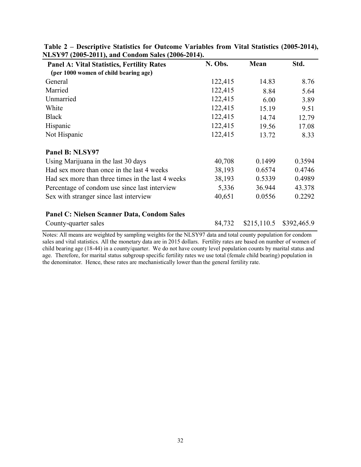| <b>Panel A: Vital Statistics, Fertility Rates</b> | N. Obs. | Mean        | Std.        |
|---------------------------------------------------|---------|-------------|-------------|
| (per 1000 women of child bearing age)             |         |             |             |
| General                                           | 122,415 | 14.83       | 8.76        |
| Married                                           | 122,415 | 8.84        | 5.64        |
| Unmarried                                         | 122,415 | 6.00        | 3.89        |
| White                                             | 122,415 | 15.19       | 9.51        |
| <b>Black</b>                                      | 122,415 | 14.74       | 12.79       |
| Hispanic                                          | 122,415 | 19.56       | 17.08       |
| Not Hispanic                                      | 122,415 | 13.72       | 8.33        |
|                                                   |         |             |             |
| Panel B: NLSY97                                   |         |             |             |
| Using Marijuana in the last 30 days               | 40,708  | 0.1499      | 0.3594      |
| Had sex more than once in the last 4 weeks        | 38,193  | 0.6574      | 0.4746      |
| Had sex more than three times in the last 4 weeks | 38,193  | 0.5339      | 0.4989      |
| Percentage of condom use since last interview     | 5,336   | 36.944      | 43.378      |
| Sex with stranger since last interview            | 40,651  | 0.0556      | 0.2292      |
|                                                   |         |             |             |
| Panel C: Nielsen Scanner Data, Condom Sales       |         |             |             |
| County-quarter sales                              | 84,732  | \$215,110.5 | \$392,465.9 |

| Table 2 – Descriptive Statistics for Outcome Variables from Vital Statistics (2005-2014), |  |  |
|-------------------------------------------------------------------------------------------|--|--|
| NLSY97 (2005-2011), and Condom Sales (2006-2014).                                         |  |  |

Notes: All means are weighted by sampling weights for the NLSY97 data and total county population for condom sales and vital statistics. All the monetary data are in 2015 dollars. Fertility rates are based on number of women of child bearing age (18-44) in a county/quarter. We do not have county level population counts by marital status and age. Therefore, for marital status subgroup specific fertility rates we use total (female child bearing) population in the denominator. Hence, these rates are mechanistically lower than the general fertility rate.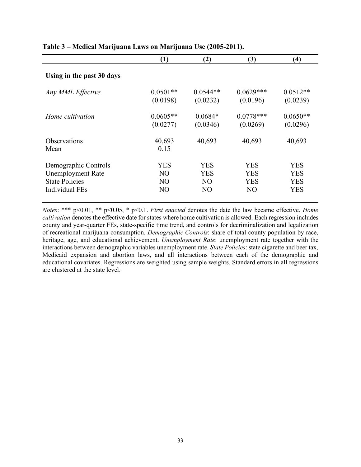|                             | (1)             | (2)            | (3)            | (4)        |
|-----------------------------|-----------------|----------------|----------------|------------|
| Using in the past 30 days   |                 |                |                |            |
| Any MML Effective           | $0.0501**$      | $0.0544**$     | $0.0629***$    | $0.0512**$ |
|                             | (0.0198)        | (0.0232)       | (0.0196)       | (0.0239)   |
| Home cultivation            | $0.0605**$      | $0.0684*$      | $0.0778***$    | $0.0650**$ |
|                             | (0.0277)        | (0.0346)       | (0.0269)       | (0.0296)   |
| <b>Observations</b><br>Mean | 40,693<br>0.15  | 40,693         | 40,693         | 40,693     |
| Demographic Controls        | YES             | <b>YES</b>     | YES            | <b>YES</b> |
| <b>Unemployment Rate</b>    | N <sub>O</sub>  | <b>YES</b>     | <b>YES</b>     | <b>YES</b> |
| <b>State Policies</b>       | NO <sub>1</sub> | N <sub>O</sub> | <b>YES</b>     | <b>YES</b> |
| <b>Individual FEs</b>       | NO              | N <sub>O</sub> | N <sub>O</sub> | <b>YES</b> |

# **Table 3 – Medical Marijuana Laws on Marijuana Use (2005-2011).**

*Notes*: \*\*\* p<0.01, \*\* p<0.05, \* p<0.1. *First enacted* denotes the date the law became effective. *Home cultivation* denotes the effective date for states where home cultivation is allowed. Each regression includes county and year-quarter FEs, state-specific time trend, and controls for decriminalization and legalization of recreational marijuana consumption. *Demographic Controls*: share of total county population by race, heritage, age, and educational achievement. *Unemployment Rate*: unemployment rate together with the interactions between demographic variables unemployment rate. *State Policies*: state cigarette and beer tax, Medicaid expansion and abortion laws, and all interactions between each of the demographic and educational covariates. Regressions are weighted using sample weights. Standard errors in all regressions are clustered at the state level.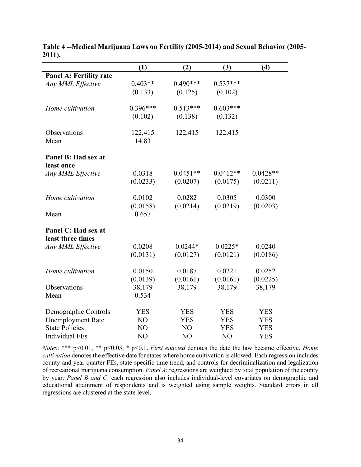|                                                   | (1)        | (2)            | (3)            | (4)                      |  |
|---------------------------------------------------|------------|----------------|----------------|--------------------------|--|
| <b>Panel A: Fertility rate</b>                    |            |                |                |                          |  |
| Any MML Effective                                 | $0.403**$  | $0.490***$     | $0.537***$     |                          |  |
|                                                   | (0.133)    | (0.125)        | (0.102)        |                          |  |
|                                                   |            |                |                |                          |  |
| Home cultivation                                  | $0.396***$ | $0.513***$     | $0.603***$     |                          |  |
|                                                   | (0.102)    | (0.138)        | (0.132)        |                          |  |
| Observations                                      | 122,415    | 122,415        | 122,415        |                          |  |
| Mean                                              | 14.83      |                |                |                          |  |
|                                                   |            |                |                |                          |  |
| Panel B: Had sex at                               |            |                |                |                          |  |
| least once                                        |            |                |                |                          |  |
| Any MML Effective                                 | 0.0318     | $0.0451**$     | $0.0412**$     | $0.0428**$               |  |
|                                                   | (0.0233)   | (0.0207)       | (0.0175)       | (0.0211)                 |  |
|                                                   |            |                |                |                          |  |
| Home cultivation                                  | 0.0102     | 0.0282         | 0.0305         | 0.0300                   |  |
|                                                   | (0.0158)   | (0.0214)       | (0.0219)       | (0.0203)                 |  |
| Mean                                              | 0.657      |                |                |                          |  |
| Panel C: Had sex at                               |            |                |                |                          |  |
| least three times                                 |            |                |                |                          |  |
| Any MML Effective                                 | 0.0208     | $0.0244*$      | $0.0225*$      | 0.0240                   |  |
|                                                   | (0.0131)   | (0.0127)       | (0.0121)       | (0.0186)                 |  |
|                                                   |            |                |                |                          |  |
| Home cultivation                                  | 0.0150     | 0.0187         | 0.0221         | 0.0252                   |  |
|                                                   | (0.0139)   | (0.0161)       | (0.0161)       | (0.0225)                 |  |
| Observations                                      | 38,179     | 38,179         | 38,179         | 38,179                   |  |
| Mean                                              | 0.534      |                |                |                          |  |
|                                                   | <b>YES</b> | <b>YES</b>     | <b>YES</b>     | <b>YES</b>               |  |
| Demographic Controls                              | NO         | <b>YES</b>     | <b>YES</b>     |                          |  |
| <b>Unemployment Rate</b><br><b>State Policies</b> | NO         | NO             | <b>YES</b>     | <b>YES</b><br><b>YES</b> |  |
|                                                   |            |                |                |                          |  |
| <b>Individual FEs</b>                             | NO         | N <sub>O</sub> | N <sub>O</sub> | <b>YES</b>               |  |

**Table 4 --Medical Marijuana Laws on Fertility (2005-2014) and Sexual Behavior (2005- 2011).**

*Notes*: \*\*\* p<0.01, \*\* p<0.05, \* p<0.1. *First enacted* denotes the date the law became effective. *Home cultivation* denotes the effective date for states where home cultivation is allowed. Each regression includes county and year-quarter FEs, state-specific time trend, and controls for decriminalization and legalization of recreational marijuana consumption. *Panel A*: regressions are weighted by total population of the county by year. *Panel B and C*: each regression also includes individual-level covariates on demographic and educational attainment of respondents and is weighted using sample weights. Standard errors in all regressions are clustered at the state level.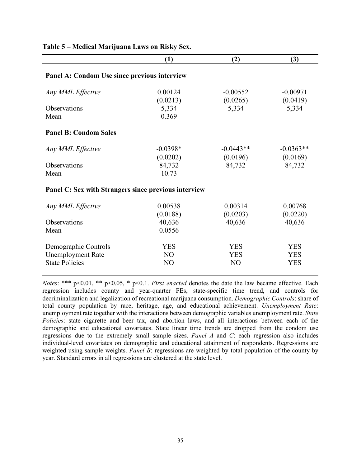|                                                                           | (1)                                            | (2)                                        | (3)                                    |  |  |  |  |  |
|---------------------------------------------------------------------------|------------------------------------------------|--------------------------------------------|----------------------------------------|--|--|--|--|--|
| Panel A: Condom Use since previous interview                              |                                                |                                            |                                        |  |  |  |  |  |
| Any MML Effective                                                         | 0.00124<br>(0.0213)                            | $-0.00552$<br>(0.0265)                     | $-0.00971$<br>(0.0419)                 |  |  |  |  |  |
| Observations<br>Mean                                                      | 5,334<br>0.369                                 | 5,334                                      | 5,334                                  |  |  |  |  |  |
| <b>Panel B: Condom Sales</b>                                              |                                                |                                            |                                        |  |  |  |  |  |
| Any MML Effective                                                         | $-0.0398*$<br>(0.0202)                         | $-0.0443**$<br>(0.0196)                    | $-0.0363**$<br>(0.0169)                |  |  |  |  |  |
| Observations<br>Mean                                                      | 84,732<br>10.73                                | 84,732                                     | 84,732                                 |  |  |  |  |  |
| Panel C: Sex with Strangers since previous interview                      |                                                |                                            |                                        |  |  |  |  |  |
| Any MML Effective                                                         | 0.00538<br>(0.0188)                            | 0.00314<br>(0.0203)                        | 0.00768<br>(0.0220)                    |  |  |  |  |  |
| Observations<br>Mean                                                      | 40,636<br>0.0556                               | 40,636                                     | 40,636                                 |  |  |  |  |  |
| Demographic Controls<br><b>Unemployment Rate</b><br><b>State Policies</b> | <b>YES</b><br>N <sub>O</sub><br>N <sub>O</sub> | <b>YES</b><br><b>YES</b><br>N <sub>O</sub> | <b>YES</b><br><b>YES</b><br><b>YES</b> |  |  |  |  |  |
|                                                                           |                                                |                                            |                                        |  |  |  |  |  |

## **Table 5 – Medical Marijuana Laws on Risky Sex.**

*Notes*: \*\*\* p<0.01, \*\* p<0.05, \* p<0.1. *First enacted* denotes the date the law became effective. Each regression includes county and year-quarter FEs, state-specific time trend, and controls for decriminalization and legalization of recreational marijuana consumption. *Demographic Controls*: share of total county population by race, heritage, age, and educational achievement. *Unemployment Rate*: unemployment rate together with the interactions between demographic variables unemployment rate. *State Policies*: state cigarette and beer tax, and abortion laws, and all interactions between each of the demographic and educational covariates. State linear time trends are dropped from the condom use regressions due to the extremely small sample sizes. *Panel A* and *C*: each regression also includes individual-level covariates on demographic and educational attainment of respondents. Regressions are weighted using sample weights. *Panel B*: regressions are weighted by total population of the county by year. Standard errors in all regressions are clustered at the state level.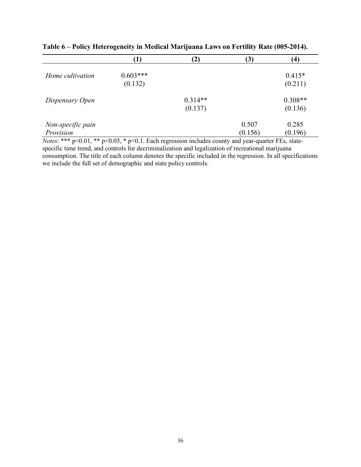|                   | 1)         | $\mathbf{2)}$ | (3)     | $\left( 4\right)$ |
|-------------------|------------|---------------|---------|-------------------|
|                   |            |               |         |                   |
| Home cultivation  | $0.603***$ |               |         | $0.415*$          |
|                   | (0.132)    |               |         | (0.211)           |
|                   |            |               |         |                   |
| Dispensary Open   |            | $0.314**$     |         | $0.308**$         |
|                   |            | (0.137)       |         | (0.136)           |
|                   |            |               |         |                   |
| Non-specific pain |            |               | 0.507   | 0.285             |
| Provision         |            |               | (0.156) | (0.196)           |

**Table 6 – Policy Heterogeneity in Medical Marijuana Laws on Fertility Rate (005-2014).**

*Notes*: \*\*\* p<0.01, \*\* p<0.05, \* p<0.1. Each regression includes county and year-quarter FEs, statespecific time trend, and controls for decriminalization and legalization of recreational marijuana consumption. The title of each column denotes the specific included in the regression. In all specifications we include the full set of demographic and state policy controls.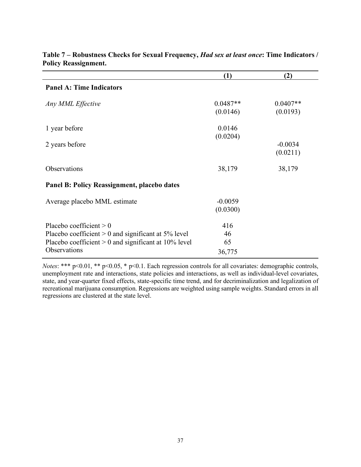|                                                                                                                                                              | (1)                       | (2)                    |
|--------------------------------------------------------------------------------------------------------------------------------------------------------------|---------------------------|------------------------|
| <b>Panel A: Time Indicators</b>                                                                                                                              |                           |                        |
| Any MML Effective                                                                                                                                            | $0.0487**$<br>(0.0146)    | $0.0407**$<br>(0.0193) |
| 1 year before                                                                                                                                                | 0.0146<br>(0.0204)        |                        |
| 2 years before                                                                                                                                               |                           | $-0.0034$<br>(0.0211)  |
| Observations                                                                                                                                                 | 38,179                    | 38,179                 |
| Panel B: Policy Reassignment, placebo dates                                                                                                                  |                           |                        |
| Average placebo MML estimate                                                                                                                                 | $-0.0059$<br>(0.0300)     |                        |
| Placebo coefficient $> 0$<br>Placebo coefficient $> 0$ and significant at 5% level<br>Placebo coefficient $> 0$ and significant at 10% level<br>Observations | 416<br>46<br>65<br>36,775 |                        |

**Table 7 – Robustness Checks for Sexual Frequency,** *Had sex at least once***: Time Indicators / Policy Reassignment.**

*Notes*: \*\*\* p<0.01, \*\* p<0.05, \* p<0.1. Each regression controls for all covariates: demographic controls, unemployment rate and interactions, state policies and interactions, as well as individual-level covariates, state, and year-quarter fixed effects, state-specific time trend, and for decriminalization and legalization of recreational marijuana consumption. Regressions are weighted using sample weights. Standard errors in all regressions are clustered at the state level.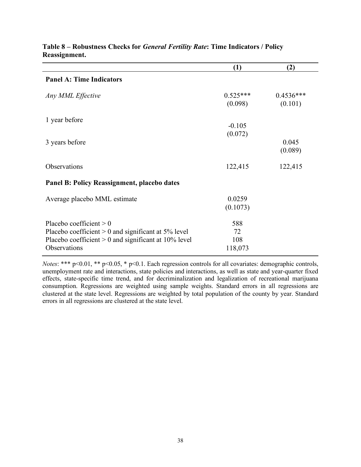|                                                                                                                                                              | (1)                         | (2)                    |
|--------------------------------------------------------------------------------------------------------------------------------------------------------------|-----------------------------|------------------------|
| <b>Panel A: Time Indicators</b>                                                                                                                              |                             |                        |
| Any MML Effective                                                                                                                                            | $0.525***$<br>(0.098)       | $0.4536***$<br>(0.101) |
| 1 year before                                                                                                                                                | $-0.105$<br>(0.072)         |                        |
| 3 years before                                                                                                                                               |                             | 0.045<br>(0.089)       |
| Observations                                                                                                                                                 | 122,415                     | 122,415                |
| Panel B: Policy Reassignment, placebo dates                                                                                                                  |                             |                        |
| Average placebo MML estimate                                                                                                                                 | 0.0259<br>(0.1073)          |                        |
| Placebo coefficient $> 0$<br>Placebo coefficient $> 0$ and significant at 5% level<br>Placebo coefficient $> 0$ and significant at 10% level<br>Observations | 588<br>72<br>108<br>118,073 |                        |

# **Table 8 – Robustness Checks for** *General Fertility Rate***: Time Indicators / Policy Reassignment.**

*Notes*: \*\*\* p<0.01, \*\* p<0.05, \* p<0.1. Each regression controls for all covariates: demographic controls, unemployment rate and interactions, state policies and interactions, as well as state and year-quarter fixed effects, state-specific time trend, and for decriminalization and legalization of recreational marijuana consumption. Regressions are weighted using sample weights. Standard errors in all regressions are clustered at the state level. Regressions are weighted by total population of the county by year. Standard errors in all regressions are clustered at the state level.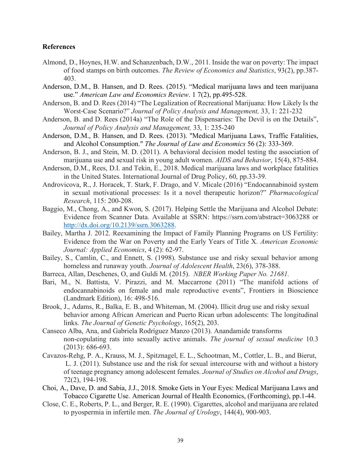## **References**

- Almond, D., Hoynes, H.W. and Schanzenbach, D.W., 2011. Inside the war on poverty: The impact of food stamps on birth outcomes. *The Review of Economics and Statistics*, 93(2), pp.387- 403.
- Anderson, D.M., B. Hansen, and D. Rees. (2015). "Medical marijuana laws and teen marijuana use." *American Law and Economics Review*. 1 7(2), pp.495-528.
- Anderson, B. and D. Rees (2014) "The Legalization of Recreational Marijuana: How Likely Is the Worst‐Case Scenario?" *Journal of Policy Analysis and Management,* 33, 1: 221-232
- Anderson, B. and D. Rees (2014a) "The Role of the Dispensaries: The Devil is on the Details", *Journal of Policy Analysis and Management,* 33, 1: 235-240
- Anderson, D.M., B. Hansen, and D. Rees. (2013). "Medical Marijuana Laws, Traffic Fatalities, and Alcohol Consumption." *The Journal of Law and Economics* 56 (2): 333-369.
- Anderson, B. J., and Stein, M. D. (2011). A behavioral decision model testing the association of marijuana use and sexual risk in young adult women. *AIDS and Behavior*, 15(4), 875-884.
- Anderson, D.M., Rees, D.I. and Tekin, E., 2018. Medical marijuana laws and workplace fatalities in the United States. International Journal of Drug Policy, 60, pp.33-39.
- Androvicova, R., J. Horacek, T. Stark, F. Drago, and V. Micale (2016) "Endocannabinoid system in sexual motivational processes: Is it a novel therapeutic horizon?" *Pharmacological Research*, 115: 200-208.
- Baggio, M., Chong, A., and Kwon, S. (2017). Helping Settle the Marijuana and Alcohol Debate: Evidence from Scanner Data. Available at SSRN: https://ssrn.com/abstract=3063288 or http://dx.doi.org/10.2139/ssrn.3063288.
- Bailey, Martha J. 2012. Reexamining the Impact of Family Planning Programs on US Fertility: Evidence from the War on Poverty and the Early Years of Title X. *American Economic Journal: Applied Economics*, 4 (2): 62-97.
- Bailey, S., Camlin, C., and Ennett, S. (1998). Substance use and risky sexual behavior among homeless and runaway youth. *Journal of Adolescent Health*, 23(6), 378-388.
- Barreca, Allan, Deschenes, O, and Guldi M. (2015). *NBER Working Paper No. 21681.*
- Bari, M., N. Battista, V. Pirazzi, and M. Maccarrone (2011) "The manifold actions of endocannabinoids on female and male reproductive events", Frontiers in Bioscience (Landmark Edition), 16: 498-516.
- Brook, J., Adams, R., Balka, E. B., and Whiteman, M. (2004). Illicit drug use and risky sexual behavior among African American and Puerto Rican urban adolescents: The longitudinal links. *The Journal of Genetic Psychology*, 165(2), 203.
- Canseco Alba, Ana, and Gabriela Rodríguez Manzo (2013). Anandamide transforms non-copulating rats into sexually active animals. *The journal of sexual medicine* 10.3 (2013): 686-693.
- Cavazos-Rehg, P. A., Krauss, M. J., Spitznagel, E. L., Schootman, M., Cottler, L. B., and Bierut, L. J. (2011). Substance use and the risk for sexual intercourse with and without a history of teenage pregnancy among adolescent females. *Journal of Studies on Alcohol and Drugs*, 72(2), 194-198.
- Choi, A., Dave, D. and Sabia, J.J., 2018. Smoke Gets in Your Eyes: Medical Marijuana Laws and Tobacco Cigarette Use. American Journal of Health Economics, (Forthcoming), pp.1-44.
- Close, C. E., Roberts, P. L., and Berger, R. E. (1990). Cigarettes, alcohol and marijuana are related to pyospermia in infertile men. *The Journal of Urology*, 144(4), 900-903.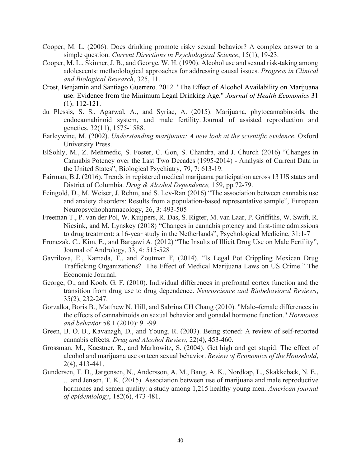- Cooper, M. L. (2006). Does drinking promote risky sexual behavior? A complex answer to a simple question. *Current Directions in Psychological Science*, 15(1), 19-23.
- Cooper, M. L., Skinner, J. B., and George, W. H. (1990). Alcohol use and sexual risk-taking among adolescents: methodological approaches for addressing causal issues. *Progress in Clinical and Biological Research*, 325, 11.
- Crost, Benjamin and Santiago Guerrero. 2012. "The Effect of Alcohol Availability on Marijuana use: Evidence from the Minimum Legal Drinking Age." *Journal of Health Economics* 31 (1): 112-121.
- du Plessis, S. S., Agarwal, A., and Syriac, A. (2015). Marijuana, phytocannabinoids, the endocannabinoid system, and male fertility. Journal of assisted reproduction and genetics, 32(11), 1575-1588.
- Earleywine, M. (2002). *Understanding marijuana: A new look at the scientific evidence*. Oxford University Press.
- ElSohly, M., Z. Mehmedic, S. Foster, C. Gon, S. Chandra, and J. Church (2016) "Changes in Cannabis Potency over the Last Two Decades (1995-2014) - Analysis of Current Data in the United States", Biological Psychiatry, 79, 7: 613-19.
- Fairman, B.J. (2016). Trends in registered medical marijuana participation across 13 US states and District of Columbia. *Drug & Alcohol Dependence,* 159, pp.72-79.
- Feingold, D., M. Weiser, J. Rehm, and S. Lev-Ran (2016) "The association between cannabis use and anxiety disorders: Results from a population-based representative sample", European Neuropsychopharmacology, 26, 3: 493-505
- Freeman T., P. van der Pol, W. Kuijpers, R. Das, S. Rigter, M. van Laar, P. Griffiths, W. Swift, R. Niesink, and M. Lynskey (2018) "Changes in cannabis potency and first-time admissions to drug treatment: a 16-year study in the Netherlands", Psychological Medicine, 31:1-7
- Fronczak, C., Kim, E., and Barqawi A. (2012) "The Insults of Illicit Drug Use on Male Fertility", Journal of Andrology, 33, 4: 515-528
- Gavrilova, E., Kamada, T., and Zoutman F, (2014). "Is Legal Pot Crippling Mexican Drug Trafficking Organizations? The Effect of Medical Marijuana Laws on US Crime." The Economic Journal.
- George, O., and Koob, G. F. (2010). Individual differences in prefrontal cortex function and the transition from drug use to drug dependence. *Neuroscience and Biobehavioral Reviews*, 35(2), 232-247.
- Gorzalka, Boris B., Matthew N. Hill, and Sabrina CH Chang (2010). "Male–female differences in the effects of cannabinoids on sexual behavior and gonadal hormone function." *Hormones and behavior* 58.1 (2010): 91-99.
- Green, B. O. B., Kavanagh, D., and Young, R. (2003). Being stoned: A review of self-reported cannabis effects. *Drug and Alcohol Review*, 22(4), 453-460.
- Grossman, M., Kaestner, R., and Markowitz, S. (2004). Get high and get stupid: The effect of alcohol and marijuana use on teen sexual behavior. *Review of Economics of the Household*, 2(4), 413-441.
- Gundersen, T. D., Jørgensen, N., Andersson, A. M., Bang, A. K., Nordkap, L., Skakkebæk, N. E., ... and Jensen, T. K. (2015). Association between use of marijuana and male reproductive hormones and semen quality: a study among 1,215 healthy young men. *American journal of epidemiology*, 182(6), 473-481.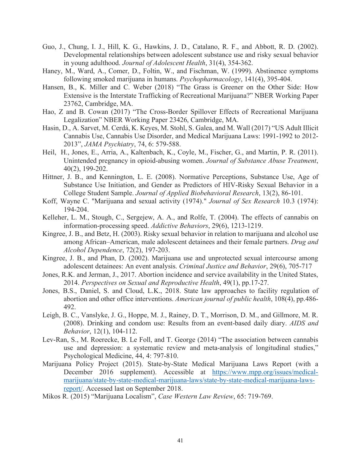- Guo, J., Chung, I. J., Hill, K. G., Hawkins, J. D., Catalano, R. F., and Abbott, R. D. (2002). Developmental relationships between adolescent substance use and risky sexual behavior in young adulthood. *Journal of Adolescent Health*, 31(4), 354-362.
- Haney, M., Ward, A., Comer, D., Foltin, W., and Fischman, W. (1999). Abstinence symptoms following smoked marijuana in humans. *Psychopharmacology*, 141(4), 395-404.
- Hansen, B., K. Miller and C. Weber (2018) "The Grass is Greener on the Other Side: How Extensive is the Interstate Trafficking of Recreational Marijuana?" NBER Working Paper 23762, Cambridge, MA.
- Hao, Z and B. Cowan (2017) "The Cross-Border Spillover Effects of Recreational Marijuana Legalization" NBER Working Paper 23426, Cambridge, MA.
- Hasin, D., A. Sarvet, M. Cerdá, K. Keyes, M. Stohl, S. Galea, and M. Wall (2017) "US Adult Illicit Cannabis Use, Cannabis Use Disorder, and Medical Marijuana Laws: 1991-1992 to 2012- 2013", *JAMA Psychiatry*, 74, 6: 579-588.
- Heil, H., Jones, E., Arria, A., Kaltenbach, K., Coyle, M., Fischer, G., and Martin, P. R. (2011). Unintended pregnancy in opioid-abusing women. *Journal of Substance Abuse Treatment*, 40(2), 199-202.
- Hittner, J. B., and Kennington, L. E. (2008). Normative Perceptions, Substance Use, Age of Substance Use Initiation, and Gender as Predictors of HIV-Risky Sexual Behavior in a College Student Sample. *Journal of Applied Biobehavioral Research*, 13(2), 86-101.
- Koff, Wayne C. "Marijuana and sexual activity (1974)." *Journal of Sex Research* 10.3 (1974): 194-204.
- Kelleher, L. M., Stough, C., Sergejew, A. A., and Rolfe, T. (2004). The effects of cannabis on information-processing speed. *Addictive Behaviors*, 29(6), 1213-1219.
- Kingree, J. B., and Betz, H. (2003). Risky sexual behavior in relation to marijuana and alcohol use among African–American, male adolescent detainees and their female partners. *Drug and Alcohol Dependence*, 72(2), 197-203.
- Kingree, J. B., and Phan, D. (2002). Marijuana use and unprotected sexual intercourse among adolescent detainees: An event analysis. *Criminal Justice and Behavior*, 29(6), 705-717
- Jones, R.K. and Jerman, J., 2017. Abortion incidence and service availability in the United States, 2014. *Perspectives on Sexual and Reproductive Health*, 49(1), pp.17-27.
- Jones, B.S., Daniel, S. and Cloud, L.K., 2018. State law approaches to facility regulation of abortion and other office interventions. *American journal of public health*, 108(4), pp.486- 492.
- Leigh, B. C., Vanslyke, J. G., Hoppe, M. J., Rainey, D. T., Morrison, D. M., and Gillmore, M. R. (2008). Drinking and condom use: Results from an event-based daily diary. *AIDS and Behavior*, 12(1), 104-112.
- Lev-Ran, S., M. Roerecke, B. Le Foll, and T. George (2014) "The association between cannabis use and depression: a systematic review and meta-analysis of longitudinal studies," Psychological Medicine, 44, 4: 797-810.
- Marijuana Policy Project (2015). State-by-State Medical Marijuana Laws Report (with a December 2016 supplement). Accessible at https://www.mpp.org/issues/medicalmarijuana/state-by-state-medical-marijuana-laws/state-by-state-medical-marijuana-lawsreport/. Accessed last on September 2018.
- Mikos R. (2015) "Marijuana Localism", *Case Western Law Review*, 65: 719-769.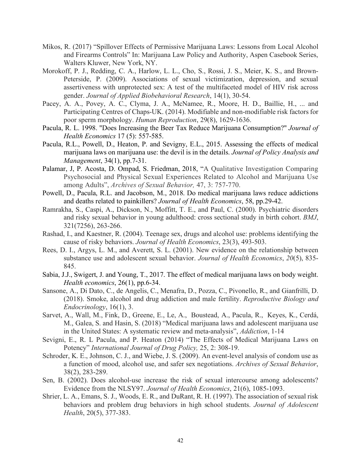- Mikos, R. (2017) "Spillover Effects of Permissive Marijuana Laws: Lessons from Local Alcohol and Firearms Controls" In: Marijuana Law Policy and Authority, Aspen Casebook Series, Walters Kluwer, New York, NY.
- Morokoff, P. J., Redding, C. A., Harlow, L. L., Cho, S., Rossi, J. S., Meier, K. S., and Brown-Peterside, P. (2009). Associations of sexual victimization, depression, and sexual assertiveness with unprotected sex: A test of the multifaceted model of HIV risk across gender. *Journal of Applied Biobehavioral Research*, 14(1), 30-54.
- Pacey, A. A., Povey, A. C., Clyma, J. A., McNamee, R., Moore, H. D., Baillie, H., ... and Participating Centres of Chaps-UK. (2014). Modifiable and non-modifiable risk factors for poor sperm morphology. *Human Reproduction*, 29(8), 1629-1636.
- Pacula, R. L. 1998. "Does Increasing the Beer Tax Reduce Marijuana Consumption?" *Journal of Health Economics* 17 (5): 557-585.
- Pacula, R.L., Powell, D., Heaton, P. and Sevigny, E.L., 2015. Assessing the effects of medical marijuana laws on marijuana use: the devil is in the details. *Journal of Policy Analysis and Management*, 34(1), pp.7-31.
- Palamar, J, P. Acosta, D. Ompad, S. Friedman, 2018, "A Qualitative Investigation Comparing Psychosocial and Physical Sexual Experiences Related to Alcohol and Marijuana Use among Adults", *Archives of Sexual Behavior,* 47, 3: 757-770.
- Powell, D., Pacula, R.L. and Jacobson, M., 2018. Do medical marijuana laws reduce addictions and deaths related to painkillers? *Journal of Health Economics*, 58, pp.29-42.
- Ramrakha, S., Caspi, A., Dickson, N., Moffitt, T. E., and Paul, C. (2000). Psychiatric disorders and risky sexual behavior in young adulthood: cross sectional study in birth cohort. *BMJ*, 321(7256), 263-266.
- Rashad, I., and Kaestner, R. (2004). Teenage sex, drugs and alcohol use: problems identifying the cause of risky behaviors. *Journal of Health Economics*, 23(3), 493-503.
- Rees, D. I., Argys, L. M., and Averett, S. L. (2001). New evidence on the relationship between substance use and adolescent sexual behavior. *Journal of Health Economics*, *20*(5), 835- 845.
- Sabia, J.J., Swigert, J. and Young, T., 2017. The effect of medical marijuana laws on body weight. *Health economics*, 26(1), pp.6-34.
- Sansone, A., Di Dato, C., de Angelis, C., Menafra, D., Pozza, C., Pivonello, R., and Gianfrilli, D. (2018). Smoke, alcohol and drug addiction and male fertility. *Reproductive Biology and Endocrinology*, 16(1), 3.
- Sarvet, A., Wall, M., Fink, D., Greene, E., Le, A., Boustead, A., Pacula, R., Keyes, K., Cerdá, M., Galea, S. and Hasin, S. (2018) "Medical marijuana laws and adolescent marijuana use in the United States: A systematic review and meta-analysis", *Addiction*, 1-14
- Sevigni, E., R. L Pacula, and P. Heaton (2014) "The Effects of Medical Marijuana Laws on Potency" *International Journal of Drug Policy,* 25, 2: 308-19.
- Schroder, K. E., Johnson, C. J., and Wiebe, J. S. (2009). An event-level analysis of condom use as a function of mood, alcohol use, and safer sex negotiations. *Archives of Sexual Behavior*, 38(2), 283-289.
- Sen, B. (2002). Does alcohol-use increase the risk of sexual intercourse among adolescents? Evidence from the NLSY97. *Journal of Health Economics*, 21(6), 1085-1093.
- Shrier, L. A., Emans, S. J., Woods, E. R., and DuRant, R. H. (1997). The association of sexual risk behaviors and problem drug behaviors in high school students. *Journal of Adolescent Health*, 20(5), 377-383.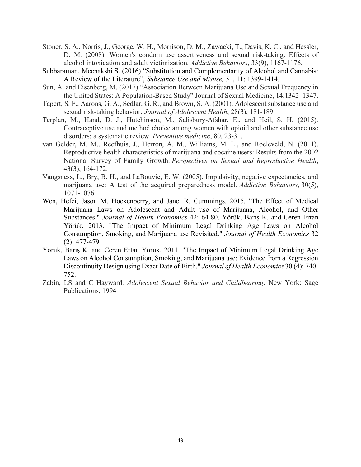- Stoner, S. A., Norris, J., George, W. H., Morrison, D. M., Zawacki, T., Davis, K. C., and Hessler, D. M. (2008). Women's condom use assertiveness and sexual risk-taking: Effects of alcohol intoxication and adult victimization. *Addictive Behaviors*, 33(9), 1167-1176.
- Subbaraman, Meenakshi S. (2016) "Substitution and Complementarity of Alcohol and Cannabis: A Review of the Literature", *Substance Use and Misuse,* 51, 11: 1399-1414.
- Sun, A. and Eisenberg, M. (2017) "Association Between Marijuana Use and Sexual Frequency in the United States: A Population-Based Study" Journal of Sexual Medicine, 14:1342–1347.
- Tapert, S. F., Aarons, G. A., Sedlar, G. R., and Brown, S. A. (2001). Adolescent substance use and sexual risk-taking behavior. *Journal of Adolescent Health*, 28(3), 181-189.
- Terplan, M., Hand, D. J., Hutchinson, M., Salisbury-Afshar, E., and Heil, S. H. (2015). Contraceptive use and method choice among women with opioid and other substance use disorders: a systematic review. *Preventive medicine*, 80, 23-31.
- van Gelder, M. M., Reefhuis, J., Herron, A. M., Williams, M. L., and Roeleveld, N. (2011). Reproductive health characteristics of marijuana and cocaine users: Results from the 2002 National Survey of Family Growth. *Perspectives on Sexual and Reproductive Health*, 43(3), 164-172.
- Vangsness, L., Bry, B. H., and LaBouvie, E. W. (2005). Impulsivity, negative expectancies, and marijuana use: A test of the acquired preparedness model. *Addictive Behaviors*, 30(5), 1071-1076.
- Wen, Hefei, Jason M. Hockenberry, and Janet R. Cummings. 2015. "The Effect of Medical Marijuana Laws on Adolescent and Adult use of Marijuana, Alcohol, and Other Substances." *Journal of Health Economics* 42: 64-80. Yörük, Barış K. and Ceren Ertan Yörük. 2013. "The Impact of Minimum Legal Drinking Age Laws on Alcohol Consumption, Smoking, and Marijuana use Revisited." *Journal of Health Economics* 32 (2): 477-479
- Yörük, Barış K. and Ceren Ertan Yörük. 2011. "The Impact of Minimum Legal Drinking Age Laws on Alcohol Consumption, Smoking, and Marijuana use: Evidence from a Regression Discontinuity Design using Exact Date of Birth." *Journal of Health Economics* 30 (4): 740- 752.
- Zabin, LS and C Hayward. *Adolescent Sexual Behavior and Childbearing*. New York: Sage Publications, 1994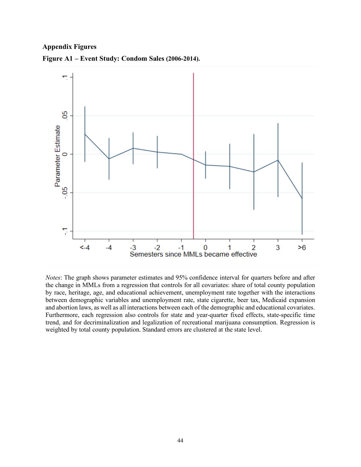# **Appendix Figures**





*Notes*: The graph shows parameter estimates and 95% confidence interval for quarters before and after the change in MMLs from a regression that controls for all covariates: share of total county population by race, heritage, age, and educational achievement, unemployment rate together with the interactions between demographic variables and unemployment rate, state cigarette, beer tax, Medicaid expansion and abortion laws, as well as all interactions between each of the demographic and educational covariates. Furthermore, each regression also controls for state and year-quarter fixed effects, state-specific time trend, and for decriminalization and legalization of recreational marijuana consumption. Regression is weighted by total county population. Standard errors are clustered at the state level.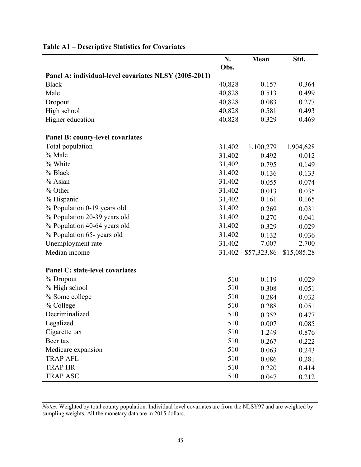|                                                       | N.     | Mean        | Std.        |
|-------------------------------------------------------|--------|-------------|-------------|
|                                                       | Obs.   |             |             |
| Panel A: individual-level covariates NLSY (2005-2011) |        |             |             |
| <b>Black</b>                                          | 40,828 | 0.157       | 0.364       |
| Male                                                  | 40,828 | 0.513       | 0.499       |
| Dropout                                               | 40,828 | 0.083       | 0.277       |
| High school                                           | 40,828 | 0.581       | 0.493       |
| Higher education                                      | 40,828 | 0.329       | 0.469       |
| Panel B: county-level covariates                      |        |             |             |
| Total population                                      | 31,402 | 1,100,279   | 1,904,628   |
| % Male                                                | 31,402 | 0.492       | 0.012       |
| % White                                               | 31,402 | 0.795       | 0.149       |
| % Black                                               | 31,402 | 0.136       | 0.133       |
| % Asian                                               | 31,402 | 0.055       | 0.074       |
| % Other                                               | 31,402 | 0.013       | 0.035       |
| % Hispanic                                            | 31,402 | 0.161       | 0.165       |
| % Population 0-19 years old                           | 31,402 | 0.269       | 0.031       |
| % Population 20-39 years old                          | 31,402 | 0.270       | 0.041       |
| % Population 40-64 years old                          | 31,402 | 0.329       | 0.029       |
| % Population 65-years old                             | 31,402 | 0.132       | 0.036       |
| Unemployment rate                                     | 31,402 | 7.007       | 2.700       |
| Median income                                         | 31,402 | \$57,323.86 | \$15,085.28 |
| <b>Panel C: state-level covariates</b>                |        |             |             |
| % Dropout                                             | 510    | 0.119       | 0.029       |
| % High school                                         | 510    | 0.308       | 0.051       |
| % Some college                                        | 510    | 0.284       | 0.032       |
| % College                                             | 510    | 0.288       | 0.051       |
| Decriminalized                                        | 510    | 0.352       | 0.477       |
| Legalized                                             | 510    | 0.007       | 0.085       |
| Cigarette tax                                         | 510    | 1.249       | 0.876       |
| Beer tax                                              | 510    | 0.267       | 0.222       |
| Medicare expansion                                    | 510    | 0.063       | 0.243       |
| <b>TRAP AFL</b>                                       | 510    | 0.086       | 0.281       |
| <b>TRAP HR</b>                                        | 510    | 0.220       | 0.414       |
| <b>TRAP ASC</b>                                       | 510    | 0.047       | 0.212       |

# **Table A1 – Descriptive Statistics for Covariates**

*Notes*: Weighted by total county population. Individual level covariates are from the NLSY97 and are weighted by sampling weights. All the monetary data are in 2015 dollars.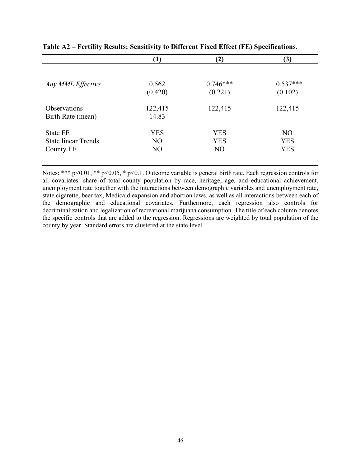|                            | $\bf(1)$       | $\mathbf{2}$   | (3)            |
|----------------------------|----------------|----------------|----------------|
|                            |                |                |                |
| Any MML Effective          | 0.562          | $0.746***$     | $0.537***$     |
|                            | (0.420)        | (0.221)        | (0.102)        |
| <b>Observations</b>        | 122,415        | 122,415        | 122,415        |
| Birth Rate (mean)          | 14.83          |                |                |
| <b>State FE</b>            | <b>YES</b>     | <b>YES</b>     | N <sub>O</sub> |
| <b>State linear Trends</b> | N <sub>O</sub> | <b>YES</b>     | <b>YES</b>     |
| County FE                  | N <sub>O</sub> | N <sub>O</sub> | <b>YES</b>     |

**Table A2 – Fertility Results: Sensitivity to Different Fixed Effect (FE) Specifications.**

Notes: \*\*\* p<0.01, \*\* p<0.05, \* p<0.1. Outcome variable is general birth rate. Each regression controls for all covariates: share of total county population by race, heritage, age, and educational achievement, unemployment rate together with the interactions between demographic variables and unemployment rate, state cigarette, beer tax, Medicaid expansion and abortion laws, as well as all interactions between each of the demographic and educational covariates. Furthermore, each regression also controls for decriminalization and legalization of recreational marijuana consumption. The title of each column denotes the specific controls that are added to the regression. Regressions are weighted by total population of the county by year. Standard errors are clustered at the state level.